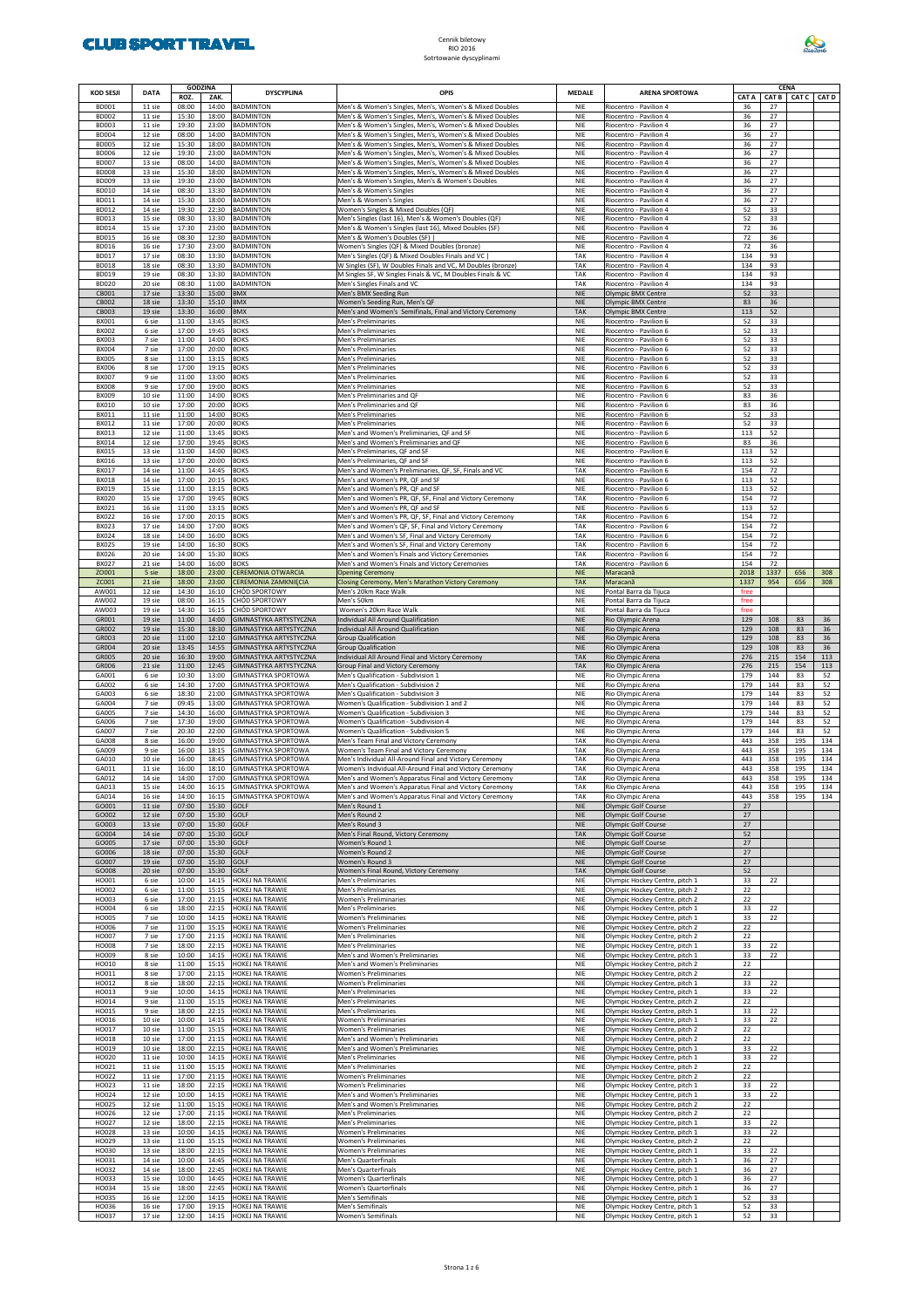

|                              |                  | <b>GODZINA</b> |                |                                                          |                                                                                                                    |                          |                                                                  |              |              | <b>CENA</b> |            |
|------------------------------|------------------|----------------|----------------|----------------------------------------------------------|--------------------------------------------------------------------------------------------------------------------|--------------------------|------------------------------------------------------------------|--------------|--------------|-------------|------------|
| <b>KOD SESJI</b>             | <b>DATA</b>      | ROZ.           | ZAK.           | <b>DYSCYPLINA</b>                                        | OPIS                                                                                                               | <b>MEDALE</b>            | <b>ARENA SPORTOWA</b>                                            | <b>CAT A</b> | <b>CAT B</b> | CAT C CAT D |            |
| <b>BD001</b>                 | 11 sie           | 08:00          | 14:00          | <b>BADMINTON</b>                                         | Men's & Women's Singles, Men's, Women's & Mixed Doubles                                                            | <b>NIE</b>               | Riocentro - Pavilion 4                                           | 36           | 27           |             |            |
| <b>BD002</b><br><b>BD003</b> | 11 sie<br>11 sie | 15:30<br>19:30 | 18:00<br>23:00 | <b>BADMINTON</b><br><b>BADMINTON</b>                     | Men's & Women's Singles, Men's, Women's & Mixed Doubles<br>Men's & Women's Singles, Men's, Women's & Mixed Doubles | <b>NIE</b><br><b>NIE</b> | Riocentro - Pavilion 4<br>Riocentro - Pavilion 4                 | 36<br>36     | 27<br>27     |             |            |
| <b>BD004</b>                 | 12 sie           | 08:00          | 14:00          | <b>BADMINTON</b>                                         | Men's & Women's Singles, Men's, Women's & Mixed Doubles                                                            | <b>NIE</b>               | Riocentro - Pavilion 4                                           | 36           | 27           |             |            |
| <b>BD005</b><br><b>BD006</b> | 12 sie<br>12 sie | 15:30<br>19:30 | 18:00<br>23:00 | <b>BADMINTON</b><br><b>BADMINTON</b>                     | Men's & Women's Singles, Men's, Women's & Mixed Doubles                                                            | <b>NIE</b><br><b>NIE</b> | Riocentro - Pavilion 4<br>Riocentro - Pavilion 4                 | 36<br>36     | 27<br>27     |             |            |
| <b>BD007</b>                 | 13 sie           | 08:00          | 14:00          | <b>BADMINTON</b>                                         | Men's & Women's Singles, Men's, Women's & Mixed Doubles<br>Men's & Women's Singles, Men's, Women's & Mixed Doubles | <b>NIE</b>               | Riocentro - Pavilion 4                                           | 36           | 27           |             |            |
| <b>BD008</b>                 | 13 sie           | 15:30          | 18:00          | <b>BADMINTON</b>                                         | Men's & Women's Singles, Men's, Women's & Mixed Doubles                                                            | <b>NIE</b>               | Riocentro - Pavilion 4                                           | 36           | 27           |             |            |
| <b>BD009</b><br><b>BD010</b> | 13 sie<br>14 sie | 19:30<br>08:30 | 23:00<br>13:30 | <b>BADMINTON</b><br><b>BADMINTON</b>                     | Men's & Women's Singles, Men's & Women's Doubles<br>Men's & Women's Singles                                        | <b>NIE</b><br><b>NIE</b> | Riocentro - Pavilion 4<br>Riocentro - Pavilion 4                 | 36<br>36     | 27<br>27     |             |            |
| BD011                        | 14 sie           | 15:30          | 18:00          | <b>BADMINTON</b>                                         | Men's & Women's Singles                                                                                            | <b>NIE</b>               | Riocentro - Pavilion 4                                           | 36           | 27           |             |            |
| <b>BD012</b>                 | 14 sie           | 19:30          | 22:30          | <b>BADMINTON</b>                                         | Women's Singles & Mixed Doubles (QF)                                                                               | <b>NIE</b>               | Riocentro - Pavilion 4                                           | 52           | 33           |             |            |
| <b>BD013</b><br><b>BD014</b> | 15 sie<br>15 sie | 08:30<br>17:30 | 13:30<br>23:00 | <b>BADMINTON</b><br><b>BADMINTON</b>                     | Men's Singles (last 16), Men's & Women's Doubles (QF)<br>Men's & Women's Singles (last 16), Mixed Doubles (SF)     | <b>NIE</b><br><b>NIE</b> | Riocentro - Pavilion 4<br>Riocentro - Pavilion 4                 | 52<br>72     | 33<br>36     |             |            |
| <b>BD015</b>                 | 16 sie           | 08:30          | 12:30          | <b>BADMINTON</b>                                         | Men's & Women's Doubles (SF)                                                                                       | <b>NIE</b>               | Riocentro - Pavilion 4                                           | 72           | 36           |             |            |
| <b>BD016</b>                 | 16 sie           | 17:30          | 23:00          | <b>BADMINTON</b>                                         | Women's Singles (QF) & Mixed Doubles (bronze)                                                                      | <b>NIE</b>               | Riocentro - Pavilion 4                                           | 72           | 36           |             |            |
| <b>BD017</b><br><b>BD018</b> | 17 sie<br>18 sie | 08:30<br>08:30 | 13:30<br>13:30 | <b>BADMINTON</b><br><b>BADMINTON</b>                     | Men's Singles (QF) & Mixed Doubles Finals and VC<br>W Singles (SF), W Doubles Finals and VC, M Doubles (bronze)    | TAK<br>TAK               | Riocentro - Pavilion 4<br>Riocentro - Pavilion 4                 | 134<br>134   | 93<br>93     |             |            |
| <b>BD019</b>                 | 19 sie           | 08:30          | 13:30          | <b>BADMINTON</b>                                         | M Singles SF, W Singles Finals & VC, M Doubles Finals & VC                                                         | TAK                      | Riocentro - Pavilion 4                                           | 134          | 93           |             |            |
| <b>BD020</b>                 | 20 sie           | 08:30          | 11:00          | <b>BADMINTON</b>                                         | Men's Singles Finals and VC                                                                                        | TAK                      | Riocentro - Pavilion 4                                           | 134          | 93           |             |            |
| CB001<br>CB002               | 17 sie<br>18 sie | 13:30<br>13:30 | 15:00<br>15:10 | <b>BMX</b><br><b>BMX</b>                                 | Men's BMX Seeding Run<br>Women's Seeding Run, Men's QF                                                             | <b>NIE</b><br><b>NIE</b> | Olympic BMX Centre<br>Olympic BMX Centre                         | 52<br>83     | 33<br>36     |             |            |
| CB003                        | 19 sie           | 13:30          | 16:00          | <b>BMX</b>                                               | Men's and Women's Semifinals, Final and Victory Ceremony                                                           | <b>TAK</b>               | Olympic BMX Centre                                               | 113          | 52           |             |            |
| BX001                        | 6 sie            | 11:00          | 13:45          | <b>BOKS</b>                                              | Men's Preliminaries                                                                                                | <b>NIE</b>               | Riocentro - Pavilion 6                                           | 52           | 33           |             |            |
| <b>BX002</b><br>BX003        | 6 sie<br>7 sie   | 17:00<br>11:00 | 19:45<br>14:00 | <b>BOKS</b><br><b>BOKS</b>                               | Men's Preliminaries<br>Men's Preliminaries                                                                         | <b>NIE</b><br><b>NIE</b> | Riocentro - Pavilion 6<br>Riocentro - Pavilion 6                 | 52<br>52     | 33<br>33     |             |            |
| <b>BX004</b>                 | 7 sie            | 17:00          | 20:00          | <b>BOKS</b>                                              | Men's Preliminaries                                                                                                | <b>NIE</b>               | Riocentro - Pavilion 6                                           | 52           | 33           |             |            |
| <b>BX005</b>                 | 8 sie            | 11:00          | 13:15          | <b>BOKS</b>                                              | Men's Preliminaries                                                                                                | <b>NIE</b>               | Riocentro - Pavilion 6                                           | 52           | 33<br>33     |             |            |
| <b>BX006</b><br><b>BX007</b> | 8 sie<br>9 sie   | 17:00<br>11:00 | 19:15<br>13:00 | <b>BOKS</b><br><b>BOKS</b>                               | Men's Preliminaries<br>Men's Preliminaries                                                                         | <b>NIE</b><br><b>NIE</b> | Riocentro - Pavilion 6<br>Riocentro - Pavilion 6                 | 52<br>52     | 33           |             |            |
| <b>BX008</b>                 | 9 sie            | 17:00          | 19:00          | <b>BOKS</b>                                              | Men's Preliminaries                                                                                                | <b>NIE</b>               | Riocentro - Pavilion 6                                           | 52           | 33           |             |            |
| <b>BX009</b>                 | 10 sie           | 11:00          | 14:00          | <b>BOKS</b>                                              | Men's Preliminaries and QF                                                                                         | <b>NIE</b>               | Riocentro - Pavilion 6                                           | 83           | 36           |             |            |
| BX010<br>BX011               | 10 sie<br>11 sie | 17:00<br>11:00 | 20:00<br>14:00 | <b>BOKS</b><br><b>BOKS</b>                               | Men's Preliminaries and QF<br>Men's Preliminaries                                                                  | <b>NIE</b><br><b>NIE</b> | Riocentro - Pavilion 6<br>Riocentro - Pavilion 6                 | 83<br>52     | 36<br>33     |             |            |
| BX012                        | 11 sie           | 17:00          | 20:00          | <b>BOKS</b>                                              | Men's Preliminaries                                                                                                | <b>NIE</b>               | Riocentro - Pavilion 6                                           | 52           | 33           |             |            |
| BX013                        | 12 sie           | 11:00          | 13:45          | <b>BOKS</b>                                              | Men's and Women's Preliminaries, QF and SF                                                                         | <b>NIE</b>               | Riocentro - Pavilion 6                                           | 113          | 52           |             |            |
| <b>BX014</b><br><b>BX015</b> | 12 sie<br>13 sie | 17:00<br>11:00 | 19:45<br>14:00 | <b>BOKS</b><br><b>BOKS</b>                               | Men's and Women's Preliminaries and QF<br>Men's Preliminaries, QF and SF                                           | <b>NIE</b><br><b>NIE</b> | Riocentro - Pavilion 6<br>Riocentro - Pavilion 6                 | 83<br>113    | 36<br>52     |             |            |
| BX016                        | 13 sie           | 17:00          | 20:00          | <b>BOKS</b>                                              | Men's Preliminaries, QF and SF                                                                                     | <b>NIE</b>               | Riocentro - Pavilion 6                                           | 113          | 52           |             |            |
| <b>BX017</b>                 | 14 sie           | 11:00          | 14:45          | <b>BOKS</b>                                              | Men's and Women's Preliminaries, QF, SF, Finals and VC                                                             | TAK                      | Riocentro - Pavilion 6                                           | 154          | 72           |             |            |
| <b>BX018</b><br>BX019        | 14 sie<br>15 sie | 17:00<br>11:00 | 20:15<br>13:15 | <b>BOKS</b><br><b>BOKS</b>                               | Men's and Women's PR, QF and SF<br>Men's and Women's PR, QF and SF                                                 | <b>NIE</b><br><b>NIE</b> | Riocentro - Pavilion 6<br>Riocentro - Pavilion 6                 | 113<br>113   | 52<br>52     |             |            |
| <b>BX020</b>                 | 15 sie           | 17:00          | 19:45          | <b>BOKS</b>                                              | Men's and Women's PR, QF, SF, Final and Victory Ceremony                                                           | TAK                      | Riocentro - Pavilion 6                                           | 154          | 72           |             |            |
| BX021                        | 16 sie           | 11:00          | 13:15          | <b>BOKS</b>                                              | Men's and Women's PR, QF and SF                                                                                    | <b>NIE</b>               | Riocentro - Pavilion 6                                           | 113          | 52           |             |            |
| <b>BX022</b><br>BX023        | 16 sie<br>17 sie | 17:00<br>14:00 | 20:15<br>17:00 | <b>BOKS</b><br><b>BOKS</b>                               | Men's and Women's PR, QF, SF, Final and Victory Ceremony<br>Men's and Women's QF, SF, Final and Victory Ceremony   | TAK<br>TAK               | Riocentro - Pavilion 6<br>Riocentro - Pavilion 6                 | 154<br>154   | 72<br>72     |             |            |
| BX024                        | 18 sie           | 14:00          | 16:00          | <b>BOKS</b>                                              | Men's and Women's SF, Final and Victory Ceremony                                                                   | TAK                      | Riocentro - Pavilion 6                                           | 154          | 72           |             |            |
| <b>BX025</b>                 | 19 sie           | 14:00          | 16:30          | <b>BOKS</b>                                              | Men's and Women's SF, Final and Victory Ceremony                                                                   | TAK                      | Riocentro - Pavilion 6                                           | 154          | 72           |             |            |
| BX026<br><b>BX027</b>        | 20 sie<br>21 sie | 14:00<br>14:00 | 15:30<br>16:00 | <b>BOKS</b><br><b>BOKS</b>                               | Men's and Women's Finals and Victory Ceremonies<br>Men's and Women's Finals and Victory Ceremonies                 | TAK<br>TAK               | Riocentro - Pavilion 6<br>Riocentro - Pavilion 6                 | 154<br>154   | 72<br>72     |             |            |
| ZO001                        | 5 sie            | 18:00          | 23:00          | <b>CEREMONIA OTWARCIA</b>                                | <b>Opening Ceremony</b>                                                                                            | <b>NIE</b>               | Maracana                                                         | 2018         | 1337         | 656         | 308        |
| ZC001                        | 21 sie           | 18:00          | 23:00          | <b>CEREMONIA ZAMKNIĘCIA</b>                              | Closing Ceremony, Men's Marathon Victory Ceremony                                                                  | <b>TAK</b>               | Maracana                                                         | 1337         | 954          | 656         | 308        |
| AW001<br>AW002               | 12 sie<br>19 sie | 14:30<br>08:00 | 16:10<br>16:15 | CHÓD SPORTOWY<br>CHÓD SPORTOWY                           | Men's 20km Race Walk<br>Men's 50km                                                                                 | <b>NIE</b><br><b>NIE</b> | Pontal Barra da Tijuca<br>Pontal Barra da Tijuca                 | free<br>free |              |             |            |
| AW003                        | 19 sie           | 14:30          | 16:15          | CHÓD SPORTOWY                                            | Women's 20km Race Walk                                                                                             | <b>NIE</b>               | Pontal Barra da Tijuca                                           | free         |              |             |            |
| GR001                        | 19 sie           | 11:00          | 14:00          | GIMNASTYKA ARTYSTYCZNA                                   | ndividual All Around Qualification                                                                                 | <b>NIE</b>               | Rio Olympic Arena                                                | 129          | 108          | 83          | 36         |
| GR002<br>GR003               | 19 sie<br>20 sie | 15:30<br>11:00 | 18:30<br>12:10 | GIMNASTYKA ARTYSTYCZNA<br>GIMNASTYKA ARTYSTYCZNA         | ndividual All Around Qualification<br>Group Qualification                                                          | <b>NIE</b><br><b>NIE</b> | Rio Olympic Arena<br>Rio Olympic Arena                           | 129<br>129   | 108<br>108   | 83<br>83    | 36<br>36   |
| GR004                        | 20 sie           | 13:45          | 14:55          | GIMNASTYKA ARTYSTYCZNA                                   | Group Qualification                                                                                                | <b>NIE</b>               | Rio Olympic Arena                                                | 129          | 108          | 83          | 36         |
| GR005                        | 20 sie           | 16:30          | 19:00          | GIMNASTYKA ARTYSTYCZNA                                   | ndividual All Around Final and Victory Ceremony                                                                    | <b>TAK</b>               | Rio Olympic Arena                                                | 276          | 215          | 154         | 113        |
| GR006<br>GA001               | 21 sie<br>6 sie  | 11:00<br>10:30 | 12:45<br>13:00 | GIMNASTYKA ARTYSTYCZNA<br><b>GIMNASTYKA SPORTOWA</b>     | Group Final and Victory Ceremony<br>Men's Qualification - Subdivision 1                                            | <b>TAK</b><br><b>NIE</b> | Rio Olympic Arena<br>Rio Olympic Arena                           | 276<br>179   | 215<br>144   | 154<br>83   | 113<br>52  |
| GA002                        | 6 sie            | 14:30          | 17:00          | <b>GIMNASTYKA SPORTOWA</b>                               | Men's Qualification - Subdivision 2                                                                                | <b>NIE</b>               | Rio Olympic Arena                                                | 179          | 144          | 83          | 52         |
| GA003                        | 6 sie            | 18:30          | 21:00          | <b>GIMNASTYKA SPORTOWA</b>                               | Men's Qualification - Subdivision 3                                                                                | <b>NIE</b>               | Rio Olympic Arena                                                | 179          | 144          | 83          | 52         |
| GA004<br>GA005               | 7 sie<br>7 sie   | 09:45<br>14:30 | 13:00<br>16:00 | <b>GIMNASTYKA SPORTOWA</b><br><b>GIMNASTYKA SPORTOWA</b> | Women's Qualification - Subdivision 1 and 2<br>Women's Qualification - Subdivision 3                               | <b>NIE</b><br><b>NIE</b> | Rio Olympic Arena                                                | 179<br>179   | 144<br>144   | 83<br>83    | 52<br>52   |
| GA006                        | 7 sie            | 17:30          | 19:00          | <b>GIMNASTYKA SPORTOWA</b>                               | Women's Qualification - Subdivision 4                                                                              | <b>NIE</b>               | Rio Olympic Arena<br>Rio Olympic Arena                           | 179          | 144          | 83          | 52         |
| GA007                        | 7 sie            | 20:30          | 22:00          | <b>GIMNASTYKA SPORTOWA</b>                               | Women's Qualification - Subdivision 5                                                                              | NIE                      | Rio Olympic Arena                                                | 179          | 144          | 83          | 52         |
| GA008<br>GA009               | 8 sie<br>9 sie   | 16:00<br>16:00 | 19:00<br>18:15 | <b>GIMNASTYKA SPORTOWA</b><br><b>GIMNASTYKA SPORTOWA</b> | Men's Team Final and Victory Ceremony<br>Women's Team Final and Victory Ceremony                                   | TAK<br>TAK               | Rio Olympic Arena<br>Rio Olympic Arena                           | 443<br>443   | 358<br>358   | 195<br>195  | 134<br>134 |
| GA010                        | 10 sie           | 16:00          | 18:45          | <b>GIMNASTYKA SPORTOWA</b>                               | Men's Individual All-Around Final and Victory Ceremony                                                             | TAK                      | Rio Olympic Arena                                                | 443          | 358          | 195         | 134        |
| GA011                        | 11 sie           | 16:00          | 18:10          | <b>GIMNASTYKA SPORTOWA</b>                               | Women's Individual All-Around Final and Victory Ceremony                                                           | TAK                      | Rio Olympic Arena                                                | 443          | 358          | 195         | 134        |
| GA013                        | 15 sie           | 14:00<br>14:00 | 17:00          | <b>GIMNASTYKA SPORTOW</b><br>16:15 GIMNASTYKA SPORTOWA   | Aen's and Women's Apparatus Final and Victory Ceremor                                                              | TAK                      | io Olympic Arena                                                 | 443          | 358<br>358   | 195         | 134<br>134 |
| GA014                        | 16 sie           | 14:00          | 16:15          | GIMNASTYKA SPORTOWA                                      | Men's and Women's Apparatus Final and Victory Ceremony<br>Men's and Women's Apparatus Final and Victory Ceremony   | TAK                      | Rio Olympic Arena<br>Rio Olympic Arena                           | 443          | 358          | 195         | 134        |
| GO001                        | 11 sie           | 07:00          | 15:30          | GOLF                                                     | Men's Round 1                                                                                                      | <b>NIE</b>               | Olympic Golf Course                                              | 27           |              |             |            |
| GO002<br>GO003               | 12 sie<br>13 sie | 07:00<br>07:00 | 15:30<br>15:30 | GOLF<br>GOLF                                             | Men's Round 2<br>Men's Round 3                                                                                     | <b>NIE</b><br><b>NIE</b> | Olympic Golf Course<br>Olympic Golf Course                       | 27<br>27     |              |             |            |
| GO004                        | 14 sie           | 07:00          | 15:30          | GOLF                                                     | Men's Final Round, Victory Ceremony                                                                                | <b>TAK</b>               | Olympic Golf Course                                              | 52           |              |             |            |
| GO005                        | 17 sie           | 07:00          | 15:30          | GOLF                                                     | Women's Round 1                                                                                                    | <b>NIE</b>               | Olympic Golf Course                                              | 27           |              |             |            |
| GO006<br>GO007               | 18 sie<br>19 sie | 07:00<br>07:00 | 15:30<br>15:30 | GOLF<br>GOLF                                             | Women's Round 2<br>Women's Round 3                                                                                 | <b>NIE</b><br><b>NIE</b> | Olympic Golf Course<br>Olympic Golf Course                       | 27<br>27     |              |             |            |
| GO008                        | 20 sie           | 07:00          | 15:30          | GOLF                                                     | Women's Final Round, Victory Ceremony                                                                              | <b>TAK</b>               | Olympic Golf Course                                              | 52           |              |             |            |
| HO001                        | 6 sie            | 10:00          | 14:15          | HOKEJ NA TRAWIE                                          | Men's Preliminaries                                                                                                | NIE                      | Olympic Hockey Centre, pitch 1                                   | 33           | 22           |             |            |
| HO002<br>HO003               | 6 sie<br>6 sie   | 11:00<br>17:00 | 15:15<br>21:15 | HOKEJ NA TRAWIE<br>HOKEJ NA TRAWIE                       | Men's Preliminaries<br><b>Women's Preliminaries</b>                                                                | <b>NIE</b><br><b>NIE</b> | Olympic Hockey Centre, pitch 2<br>Olympic Hockey Centre, pitch 2 | 22<br>22     |              |             |            |
| HO004                        | 6 sie            | 18:00          | 22:15          | HOKEJ NA TRAWIE                                          | Men's Preliminaries                                                                                                | NIE                      | Olympic Hockey Centre, pitch 1                                   | 33           | 22           |             |            |
| HO005                        | 7 sie            | 10:00          | 14:15          | HOKEJ NA TRAWIE                                          | <b>Women's Preliminaries</b>                                                                                       | <b>NIE</b>               | Olympic Hockey Centre, pitch 1                                   | 33           | 22           |             |            |
| <b>HO006</b><br>HO007        | 7 sie<br>7 sie   | 11:00<br>17:00 | 15:15<br>21:15 | HOKEJ NA TRAWIE<br>HOKEJ NA TRAWIE                       | <b>Women's Preliminaries</b><br>Men's Preliminaries                                                                | <b>NIE</b><br>NIE        | Olympic Hockey Centre, pitch 2<br>Olympic Hockey Centre, pitch 2 | 22<br>22     |              |             |            |
| <b>HO008</b>                 | 7 sie            | 18:00          | 22:15          | HOKEJ NA TRAWIE                                          | Men's Preliminaries                                                                                                | <b>NIE</b>               | Olympic Hockey Centre, pitch 1                                   | 33           | 22           |             |            |
| HO009                        | 8 sie            | 10:00          | 14:15          | HOKEJ NA TRAWIE                                          | Men's and Women's Preliminaries                                                                                    | <b>NIE</b>               | Olympic Hockey Centre, pitch 1                                   | 33           | 22           |             |            |
| HO010<br>HO011               | 8 sie<br>8 sie   | 11:00<br>17:00 | 15:15<br>21:15 | HOKEJ NA TRAWIE<br>HOKEJ NA TRAWIE                       | Men's and Women's Preliminaries<br><b>Women's Preliminaries</b>                                                    | <b>NIE</b><br><b>NIE</b> | Olympic Hockey Centre, pitch 2<br>Olympic Hockey Centre, pitch 2 | 22<br>22     |              |             |            |
| HO012                        | 8 sie            | 18:00          | 22:15          | HOKEJ NA TRAWIE                                          | <b>Women's Preliminaries</b>                                                                                       | <b>NIE</b>               | Olympic Hockey Centre, pitch 1                                   | 33           | 22           |             |            |
| HO013                        | 9 sie            | 10:00          | 14:15          | HOKEJ NA TRAWIE                                          | Men's Preliminaries                                                                                                | <b>NIE</b>               | Olympic Hockey Centre, pitch 1                                   | 33           | 22           |             |            |
| HO014<br>HO015               | 9 sie<br>9 sie   | 11:00<br>18:00 | 15:15<br>22:15 | HOKEJ NA TRAWIE<br>HOKEJ NA TRAWIE                       | Men's Preliminaries<br>Men's Preliminaries                                                                         | <b>NIE</b><br><b>NIE</b> | Olympic Hockey Centre, pitch 2<br>Olympic Hockey Centre, pitch 1 | 22<br>33     | 22           |             |            |
| HO016                        | 10 sie           | 10:00          | 14:15          | HOKEJ NA TRAWIE                                          | <b>Women's Preliminaries</b>                                                                                       | <b>NIE</b>               | Olympic Hockey Centre, pitch 1                                   | 33           | 22           |             |            |
| HO017                        | 10 sie           | 11:00          | 15:15          | HOKEJ NA TRAWIE                                          | <b>Women's Preliminaries</b>                                                                                       | <b>NIE</b>               | Olympic Hockey Centre, pitch 2                                   | 22<br>22     |              |             |            |
| HO018<br>HO019               | 10 sie<br>10 sie | 17:00<br>18:00 | 21:15<br>22:15 | HOKEJ NA TRAWIE<br>HOKEJ NA TRAWIE                       | Men's and Women's Preliminaries<br>Men's and Women's Preliminaries                                                 | <b>NIE</b><br><b>NIE</b> | Olympic Hockey Centre, pitch 2<br>Olympic Hockey Centre, pitch 1 | 33           | 22           |             |            |
| HO020                        | 11 sie           | 10:00          | 14:15          | HOKEJ NA TRAWIE                                          | Men's Preliminaries                                                                                                | <b>NIE</b>               | Olympic Hockey Centre, pitch 1                                   | 33           | 22           |             |            |
| HO021<br>HO022               | 11 sie<br>11 sie | 11:00<br>17:00 | 15:15<br>21:15 | HOKEJ NA TRAWIE<br>HOKEJ NA TRAWIE                       | Men's Preliminaries<br><b>Women's Preliminaries</b>                                                                | <b>NIE</b><br><b>NIE</b> | Olympic Hockey Centre, pitch 2<br>Olympic Hockey Centre, pitch 2 | 22<br>22     |              |             |            |
| HO023                        | 11 sie           | 18:00          | 22:15          | HOKEJ NA TRAWIE                                          | <b>Women's Preliminaries</b>                                                                                       | <b>NIE</b>               | Olympic Hockey Centre, pitch 1                                   | 33           | 22           |             |            |
| HO024                        | 12 sie           | 10:00          | 14:15          | HOKEJ NA TRAWIE                                          | Men's and Women's Preliminaries                                                                                    | <b>NIE</b>               | Olympic Hockey Centre, pitch 1                                   | 33           | 22           |             |            |
| HO025<br>HO026               | 12 sie<br>12 sie | 11:00<br>17:00 | 15:15<br>21:15 | HOKEJ NA TRAWIE<br>HOKEJ NA TRAWIE                       | Men's and Women's Preliminaries<br>Men's Preliminaries                                                             | <b>NIE</b><br><b>NIE</b> | Olympic Hockey Centre, pitch 2                                   | 22<br>22     |              |             |            |
| HO027                        | 12 sie           | 18:00          | 22:15          | HOKEJ NA TRAWIE                                          | Men's Preliminaries                                                                                                | <b>NIE</b>               | Olympic Hockey Centre, pitch 2<br>Olympic Hockey Centre, pitch 1 | 33           | 22           |             |            |
| HO028                        | 13 sie           | 10:00          | 14:15          | HOKEJ NA TRAWIE                                          | <b>Women's Preliminaries</b>                                                                                       | <b>NIE</b>               | Olympic Hockey Centre, pitch 1                                   | 33           | 22           |             |            |
| HO029<br>HO030               | 13 sie<br>13 sie | 11:00<br>18:00 | 15:15<br>22:15 | HOKEJ NA TRAWIE<br>HOKEJ NA TRAWIE                       | <b>Women's Preliminaries</b><br><b>Women's Preliminaries</b>                                                       | <b>NIE</b><br><b>NIE</b> | Olympic Hockey Centre, pitch 2<br>Olympic Hockey Centre, pitch 1 | 22<br>33     | 22           |             |            |
| HO031                        | 14 sie           | 10:00          | 14:45          | HOKEJ NA TRAWIE                                          | Men's Quarterfinals                                                                                                | <b>NIE</b>               | Olympic Hockey Centre, pitch 1                                   | 36           | 27           |             |            |
| HO032                        | 14 sie           | 18:00          | 22:45          | HOKEJ NA TRAWIE                                          | Men's Quarterfinals                                                                                                | <b>NIE</b>               | Olympic Hockey Centre, pitch 1                                   | 36           | 27           |             |            |
| HO033<br>HO034               | 15 sie<br>15 sie | 10:00<br>18:00 | 14:45<br>22:45 | HOKEJ NA TRAWIE<br>HOKEJ NA TRAWIE                       | <b>Women's Quarterfinals</b><br>Women's Quarterfinals                                                              | <b>NIE</b><br><b>NIE</b> | Olympic Hockey Centre, pitch 1<br>Olympic Hockey Centre, pitch 1 | 36<br>36     | 27<br>27     |             |            |
| HO035                        | 16 sie           | 12:00          | 14:15          | HOKEJ NA TRAWIE                                          | Men's Semifinals                                                                                                   | <b>NIE</b>               | Olympic Hockey Centre, pitch 1                                   | 52           | 33           |             |            |
| HO036                        | 16 sie           | 17:00          | 19:15          | HOKEJ NA TRAWIE                                          | Men's Semifinals                                                                                                   | <b>NIE</b>               | Olympic Hockey Centre, pitch 1                                   | 52           | 33           |             |            |
| HO037                        | 17 sie           | 12:00          | 14:15          | HOKEJ NA TRAWIE                                          | Women's Semifinals                                                                                                 | NIE                      | Olympic Hockey Centre, pitch 1                                   | 52           | 33           |             |            |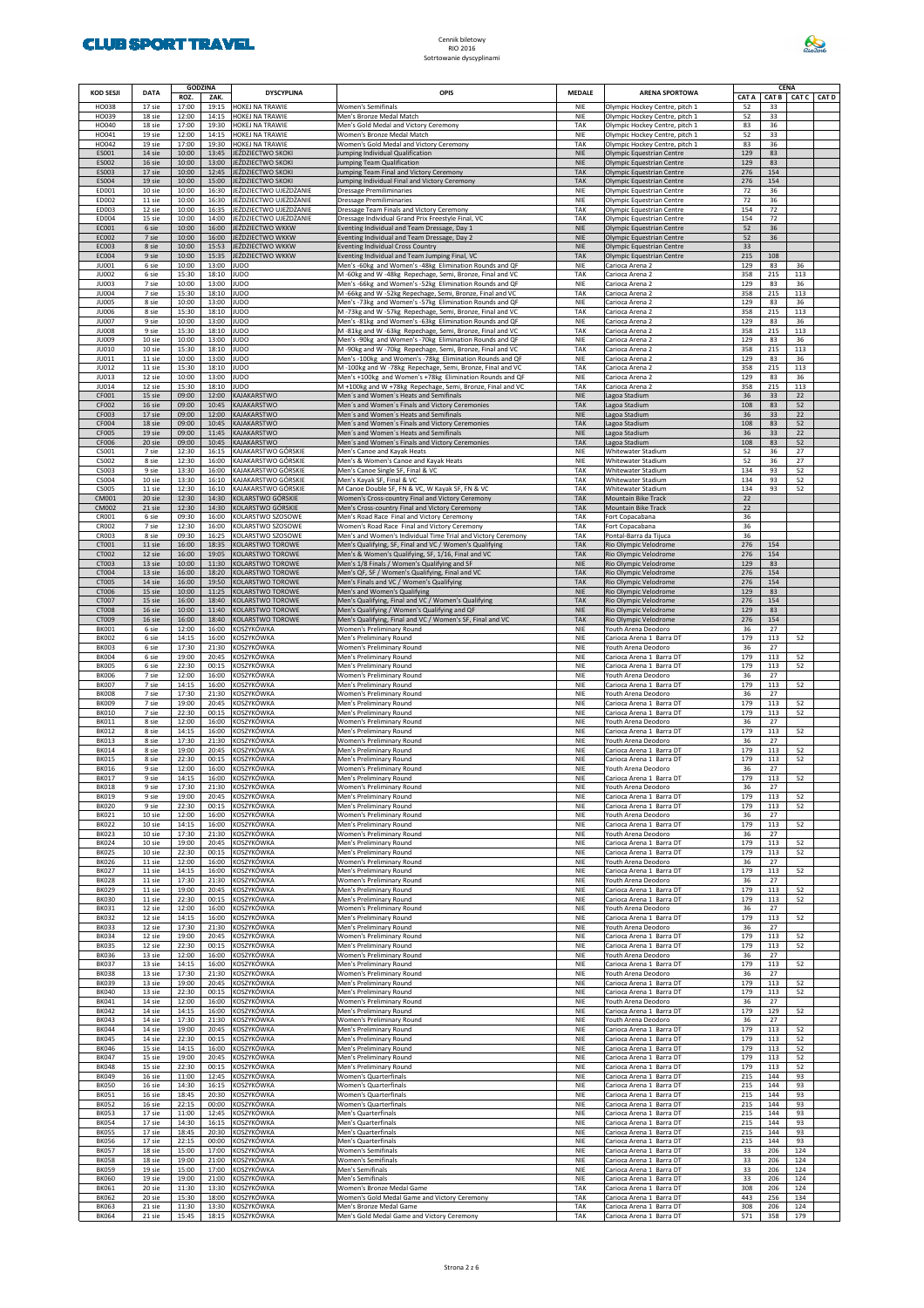

| <b>KOD SESJI</b>             | <b>DATA</b>      | <b>GODZINA</b> |                | <b>DYSCYPLINA</b>                                | OPIS                                                                                                                 | <b>MEDALE</b>            |                                                                  |             | <b>CENA</b> |                   |  |
|------------------------------|------------------|----------------|----------------|--------------------------------------------------|----------------------------------------------------------------------------------------------------------------------|--------------------------|------------------------------------------------------------------|-------------|-------------|-------------------|--|
| HO038                        | 17 sie           | ROZ.<br>17:00  | ZAK.<br>19:15  | HOKEJ NA TRAWIE                                  | Women's Semifinals                                                                                                   | <b>NIE</b>               | <b>ARENA SPORTOWA</b><br>Olympic Hockey Centre, pitch 1          | CAT A<br>52 | 33          | CAT B CAT C CAT D |  |
| HO039                        | 18 sie           | 12:00          | 14:15          | HOKEJ NA TRAWIE                                  | Men's Bronze Medal Match                                                                                             | <b>NIE</b>               | Olympic Hockey Centre, pitch 1                                   | 52          | 33          |                   |  |
| HO040<br>HO041               | 18 sie<br>19 sie | 17:00<br>12:00 | 19:30<br>14:15 | HOKEJ NA TRAWIE<br>HOKEJ NA TRAWIE               | Men's Gold Medal and Victory Ceremony<br>Women's Bronze Medal Match                                                  | TAK<br>NIE               | Olympic Hockey Centre, pitch 1<br>Olympic Hockey Centre, pitch 1 | 83<br>52    | 36<br>33    |                   |  |
| HO042                        | 19 sie           | 17:00          | 19:30          | HOKEJ NA TRAWIE                                  | Women's Gold Medal and Victory Ceremony                                                                              | TAK                      | Olympic Hockey Centre, pitch 1                                   | 83          | 36          |                   |  |
| ES001<br>ES002               | 14 sie<br>16 sie | 10:00<br>10:00 | 13:45<br>13:00 | JEŹDZIECTWO SKOKI<br>JEŹDZIECTWO SKOKI           | lumping Individual Qualification<br>lumping Team Qualification                                                       | <b>NIE</b><br><b>NIE</b> | Olympic Equestrian Centre<br>Olympic Equestrian Centre           | 129<br>129  | 83<br>83    |                   |  |
| ES003                        | 17 sie           | 10:00          | 12:45          | JEŹDZIECTWO SKOKI                                | lumping Team Final and Victory Ceremony                                                                              | <b>TAK</b>               | Olympic Equestrian Centre                                        | 276         | 154         |                   |  |
| ES004<br>ED001               | 19 sie<br>10 sie | 10:00<br>10:00 | 15:00<br>16:30 | JEŹDZIECTWO SKOKI<br>JEŹDZIECTWO UJEŻDŻANIE      | lumping Individual Final and Victory Ceremony<br>Oressage Premiliminaries                                            | <b>TAK</b><br><b>NIE</b> | Olympic Equestrian Centre<br>Olympic Equestrian Centre           | 276<br>72   | 154<br>36   |                   |  |
| ED002                        | 11 sie           | 10:00          | 16:30          | JEŹDZIECTWO UJEŻDŻANIE                           | Dressage Premiliminaries                                                                                             | <b>NIE</b>               | Olympic Equestrian Centre                                        | 72          | 36          |                   |  |
| ED003<br>ED004               | 12 sie<br>15 sie | 10:00<br>10:00 | 16:35<br>14:00 | JEŹDZIECTWO UJEŻDŻANIE<br>JEŹDZIECTWO UJEŻDŻANIE | Dressage Team Finals and Victory Ceremony<br>Dressage Individual Grand Prix Freestyle Final, VC                      | TAK<br>TAK               | Olympic Equestrian Centre<br>Olympic Equestrian Centre           | 154<br>154  | 72<br>72    |                   |  |
| EC001                        | 6 sie            | 10:00          | 16:00          | JEŹDZIECTWO WKKW                                 | venting Individual and Team Dressage, Day 1                                                                          | <b>NIE</b>               | Olympic Equestrian Centre                                        | 52          | 36          |                   |  |
| EC002<br>EC003               | 7 sie<br>8 sie   | 10:00<br>10:00 | 16:00<br>15:53 | JEŹDZIECTWO WKKW<br>JEŹDZIECTWO WKKW             | venting Individual and Team Dressage, Day 2<br><b>Eventing Individual Cross Country</b>                              | <b>NIE</b><br><b>NIE</b> | Olympic Equestrian Centre<br>Olympic Equestrian Centre           | 52<br>33    | 36          |                   |  |
| EC004                        | 9 sie            | 10:00          | 15:35          | JEŹDZIECTWO WKKW                                 | venting Individual and Team Jumping Final, VC                                                                        | <b>TAK</b>               | Olympic Equestrian Centre                                        | 215         | 108         |                   |  |
| JU001<br><b>JU002</b>        | 6 sie<br>6 sie   | 10:00<br>15:30 | 13:00<br>18:10 | <b>JUDO</b><br><b>JUDO</b>                       | Men's -60kg and Women's -48kg Elimination Rounds and QF<br>M -60kg and W -48kg Repechage, Semi, Bronze, Final and VC | <b>NIE</b><br>TAK        | Carioca Arena 2<br>Carioca Arena 2                               | 129<br>358  | 83<br>215   | 36<br>113         |  |
| JU003<br><b>JU004</b>        | 7 sie<br>7 sie   | 10:00<br>15:30 | 13:00<br>18:10 | <b>JUDO</b><br><b>JUDO</b>                       | Men's -66kg and Women's -52kg Elimination Rounds and QF<br>M -66kg and W -52kg Repechage, Semi, Bronze, Final and VC | <b>NIE</b><br>TAK        | Carioca Arena 2<br>Carioca Arena 2                               | 129<br>358  | 83<br>215   | 36<br>113         |  |
| <b>JU005</b>                 | 8 sie            | 10:00          | 13:00          | <b>JUDO</b>                                      | Men's -73kg and Women's -57kg Elimination Rounds and QF                                                              | <b>NIE</b>               | Carioca Arena 2                                                  | 129         | 83          | 36                |  |
| <b>JU006</b><br><b>JU007</b> | 8 sie<br>9 sie   | 15:30<br>10:00 | 18:10<br>13:00 | <b>JUDO</b><br><b>JUDO</b>                       | M-73kg and W-57kg Repechage, Semi, Bronze, Final and VC<br>Men's -81kg and Women's -63kg Elimination Rounds and QF   | TAK<br><b>NIE</b>        | Carioca Arena 2<br>Carioca Arena 2                               | 358<br>129  | 215<br>83   | 113<br>36         |  |
| <b>JU008</b>                 | 9 sie            | 15:30          | 18:10          | <b>JUDO</b>                                      | M-81kg and W-63kg Repechage, Semi, Bronze, Final and VC                                                              | TAK                      | Carioca Arena 2                                                  | 358         | 215         | 113               |  |
| <b>JU009</b><br><b>JU010</b> | 10 sie<br>10 sie | 10:00<br>15:30 | 13:00<br>18:10 | <b>JUDO</b><br><b>JUDO</b>                       | Men's -90kg and Women's -70kg Elimination Rounds and QF<br>M -90kg and W -70kg Repechage, Semi, Bronze, Final and VC | <b>NIE</b><br>TAK        | Carioca Arena 2<br>Carioca Arena 2                               | 129<br>358  | 83<br>215   | 36<br>113         |  |
| JU011                        | 11 sie           | 10:00          | 13:00          | <b>JUDO</b>                                      | Men's -100kg and Women's -78kg Elimination Rounds and QF                                                             | <b>NIE</b>               | Carioca Arena 2                                                  | 129         | 83          | 36                |  |
| <b>JU012</b><br>JU013        | 11 sie<br>12 sie | 15:30<br>10:00 | 18:10<br>13:00 | <b>JUDO</b><br><b>JUDO</b>                       | M-100kg and W-78kg Repechage, Semi, Bronze, Final and VC<br>Men's +100kg and Women's +78kg Elimination Rounds and QF | TAK<br><b>NIE</b>        | Carioca Arena 2<br>Carioca Arena 2                               | 358<br>129  | 215<br>83   | 113<br>36         |  |
| <b>JU014</b>                 | 12 sie           | 15:30          | 18:10          | <b>JUDO</b>                                      | M +100kg and W +78kg Repechage, Semi, Bronze, Final and VC                                                           | TAK                      | Carioca Arena 2                                                  | 358         | 215         | 113               |  |
| CF001<br>CF002               | 15 sie<br>16 sie | 09:00<br>09:00 | 12:00<br>10:45 | KAJAKARSTWO<br>KAJAKARSTWO                       | Men's and Women's Heats and Semifinals<br>Men's and Women's Finals and Victory Ceremonies                            | <b>NIE</b><br><b>TAK</b> | Lagoa Stadium<br>Lagoa Stadium                                   | 36<br>108   | 33<br>83    | 22<br>52          |  |
| CF003<br>CF004               | 17 sie<br>18 sie | 09:00<br>09:00 | 12:00<br>10:45 | KAJAKARSTWO<br>KAJAKARSTWO                       | Men's and Women's Heats and Semifinals<br>Men's and Women's Finals and Victory Ceremonies                            | <b>NIE</b><br><b>TAK</b> | Lagoa Stadium<br>Lagoa Stadium                                   | 36<br>108   | 33<br>83    | 22<br>52          |  |
| <b>CF005</b>                 | 19 sie           | 09:00          | 11:45          | KAJAKARSTWO                                      | Men's and Women's Heats and Semifinals                                                                               | <b>NIE</b>               | Lagoa Stadium                                                    | 36          | 33          | 22                |  |
| <b>CF006</b><br>CS001        | 20 sie<br>7 sie  | 09:00<br>12:30 | 10:45<br>16:15 | KAJAKARSTWO<br>KAJAKARSTWO GÓRSKIE               | Men's and Women's Finals and Victory Ceremonies<br>Men's Canoe and Kayak Heats                                       | <b>TAK</b><br><b>NIE</b> | Lagoa Stadium<br>Whitewater Stadium                              | 108<br>52   | 83<br>36    | 52<br>27          |  |
| CS002                        | 8 sie            | 12:30          | 16:00          | KAJAKARSTWO GÓRSKIE                              | Men's & Women's Canoe and Kayak Heats                                                                                | <b>NIE</b>               | Whitewater Stadium                                               | 52          | 36          | 27                |  |
| CS003<br>CS004               | 9 sie<br>10 sie  | 13:30<br>13:30 | 16:00<br>16:10 | KAJAKARSTWO GÓRSKIE<br>KAJAKARSTWO GÓRSKIE       | Men's Canoe Single SF, Final & VC<br>Men's Kayak SF, Final & VC                                                      | TAK<br>TAK               | Whitewater Stadium<br>Whitewater Stadium                         | 134<br>134  | 93<br>93    | 52<br>52          |  |
| <b>CS005</b>                 | 11 sie           | 12:30          | 16:10          | KAJAKARSTWO GÓRSKIE                              | M Canoe Double SF, FN & VC, W Kayak SF, FN & VC                                                                      | TAK                      | Whitewater Stadium                                               | 134         | 93          | 52                |  |
| CM001<br>CM002               | 20 sie<br>21 sie | 12:30<br>12:30 | 14:30<br>14:30 | KOLARSTWO GÓRSKIE<br>KOLARSTWO GÓRSKIE           | Women's Cross-country Final and Victory Ceremony<br>Men's Cross-country Final and Victory Ceremony                   | <b>TAK</b><br><b>TAK</b> | <b>Mountain Bike Track</b><br>Mountain Bike Track                | 22<br>22    |             |                   |  |
| CR001                        | 6 sie            | 09:30          | 16:00          | KOLARSTWO SZOSOWE                                | Men's Road Race Final and Victory Ceremony                                                                           | TAK                      | Fort Copacabana                                                  | 36          |             |                   |  |
| <b>CR002</b><br>CR003        | 7 sie<br>8 sie   | 12:30<br>09:30 | 16:00<br>16:25 | KOLARSTWO SZOSOWE<br>KOLARSTWO SZOSOWE           | Women's Road Race Final and Victory Ceremony<br>Men's and Women's Individual Time Trial and Victory Ceremony         | TAK<br>TAK               | Fort Copacabana<br>Pontal-Barra da Tijuca                        | 36<br>36    |             |                   |  |
| CT001                        | 11 sie           | 16:00          | 18:35          | KOLARSTWO TOROWE                                 | Men's Qualifying, SF, Final and VC / Women's Qualifying                                                              | <b>TAK</b>               | Rio Olympic Velodrome                                            | 276         | 154         |                   |  |
| CT002<br>CT003               | 12 sie<br>13 sie | 16:00<br>10:00 | 19:05<br>11:30 | KOLARSTWO TOROWE<br>KOLARSTWO TOROWE             | Men's & Women's Qualifying, SF, 1/16, Final and VC<br>Men's 1/8 Finals / Women's Qualifying and SF                   | <b>TAK</b><br><b>NIE</b> | Rio Olympic Velodrome<br>Rio Olympic Velodrome                   | 276<br>129  | 154<br>83   |                   |  |
| CT004                        | 13 sie           | 16:00          | 18:20          | KOLARSTWO TOROWE                                 | Men's QF, SF / Women's Qualifying, Final and VC                                                                      | <b>TAK</b>               | Rio Olympic Velodrome                                            | 276         | 154         |                   |  |
| CT005<br>CT006               | 14 sie<br>15 sie | 16:00<br>10:00 | 19:50<br>11:25 | KOLARSTWO TOROWE<br>KOLARSTWO TOROWE             | Men's Finals and VC / Women's Qualifying<br>Men's and Women's Qualifying                                             | <b>TAK</b><br><b>NIE</b> | Rio Olympic Velodrome<br>Rio Olympic Velodrome                   | 276<br>129  | 154<br>83   |                   |  |
| CT007                        | 15 sie           | 16:00          | 18:40          | KOLARSTWO TOROWE                                 | Men's Qualifying, Final and VC / Women's Qualifying                                                                  | <b>TAK</b>               | Rio Olympic Velodrome                                            | 276         | 154         |                   |  |
| CT008<br>CT009               | 16 sie<br>16 sie | 10:00<br>16:00 | 11:40<br>18:40 | KOLARSTWO TOROWE<br>KOLARSTWO TOROWE             | Men's Qualifying / Women's Qualifying and QF<br>Men's Qualifying, Final and VC / Women's SF, Final and VC            | <b>NIE</b><br><b>TAK</b> | Rio Olympic Velodrome<br>Rio Olympic Velodrome                   | 129<br>276  | 83<br>154   |                   |  |
| <b>BK001</b><br><b>BK002</b> | 6 sie<br>6 sie   | 12:00<br>14:15 | 16:00<br>16:00 | KOSZYKÓWKA<br>KOSZYKÓWKA                         | Women's Preliminary Round<br>Men's Preliminary Round                                                                 | <b>NIE</b><br><b>NIE</b> | Youth Arena Deodoro<br>Carioca Arena 1 Barra DT                  | 36<br>179   | 27<br>113   | 52                |  |
| <b>BK003</b>                 | 6 sie            | 17:30          | 21:30          | KOSZYKÓWKA                                       | Women's Preliminary Round                                                                                            | <b>NIE</b>               | Youth Arena Deodoro                                              | 36          | 27          |                   |  |
| <b>BK004</b><br><b>BK005</b> | 6 sie<br>6 sie   | 19:00<br>22:30 | 20:45<br>00:15 | KOSZYKÓWKA<br>KOSZYKÓWKA                         | Men's Preliminary Round<br>Men's Preliminary Round                                                                   | <b>NIE</b><br><b>NIE</b> | Carioca Arena 1 Barra DT<br>Carioca Arena 1 Barra DT             | 179<br>179  | 113<br>113  | 52<br>52          |  |
| <b>BK006</b>                 | 7 sie            | 12:00          | 16:00          | KOSZYKÓWKA                                       | Women's Preliminary Round                                                                                            | <b>NIE</b>               | Youth Arena Deodoro                                              | 36          | 27          |                   |  |
| <b>BK007</b><br><b>BK008</b> | 7 sie<br>7 sie   | 14:15<br>17:30 | 16:00<br>21:30 | KOSZYKÓWKA<br>KOSZYKÓWKA                         | Men's Preliminary Round<br>Women's Preliminary Round                                                                 | <b>NIE</b><br><b>NIE</b> | Carioca Arena 1 Barra DT<br>Youth Arena Deodoro                  | 179<br>36   | 113<br>27   | 52                |  |
| <b>BK009</b><br><b>BK010</b> | 7 sie<br>7 sie   | 19:00<br>22:30 | 20:45<br>00:15 | KOSZYKÓWKA<br>KOSZYKÓWKA                         | Men's Preliminary Round<br>Men's Preliminary Round                                                                   | <b>NIE</b><br><b>NIE</b> | Carioca Arena 1 Barra DT<br>Carioca Arena 1 Barra DT             | 179<br>179  | 113<br>113  | 52<br>52          |  |
| <b>BK011</b>                 | 8 sie            | 12:00          | 16:00          | KOSZYKÓWKA                                       | Women's Preliminary Round                                                                                            | <b>NIE</b>               | Youth Arena Deodoro                                              | 36          | 27          |                   |  |
| <b>BK012</b><br><b>BK013</b> | 8 sie<br>8 sie   | 14:15<br>17:30 | 16:00<br>21:30 | KOSZYKÓWKA<br>KOSZYKÓWKA                         | Men's Preliminary Round<br>Women's Preliminary Round                                                                 | <b>NIE</b><br><b>NIE</b> | Carioca Arena 1 Barra DT<br>Youth Arena Deodoro                  | 179<br>36   | 113<br>27   | 52                |  |
| <b>BK014</b><br><b>BK015</b> | 8 sie<br>8 sie   | 19:00<br>22:30 | 20:45<br>00:15 | KOSZYKÓWKA<br>KOSZYKÓWKA                         | Men's Preliminary Round<br>Men's Preliminary Round                                                                   | <b>NIE</b><br><b>NIE</b> | Carioca Arena 1 Barra DT<br>Carioca Arena 1 Barra DT             | 179<br>179  | 113<br>113  | 52<br>52          |  |
| <b>BK016</b>                 | 9 sie            | 12:00          | 16:00          | KOSZYKÓWKA                                       | Women's Preliminary Round                                                                                            | <b>NIE</b>               | Youth Arena Deodoro                                              | 36          | 27          |                   |  |
| <b>BK017</b><br><b>BK018</b> | 9 sie<br>9 sie   | 14:15<br>17:30 | 16:00<br>21:30 | KOSZYKÓWKA<br>KOSZYKÓWKA                         | Men's Preliminary Round<br>Women's Preliminary Round                                                                 | <b>NIE</b><br><b>NIE</b> | Carioca Arena 1 Barra DT<br>Youth Arena Deodoro                  | 179<br>36   | 113<br>27   | 52                |  |
| <b>BK019</b>                 | 9 sie            | 19:00          | 20:45          | KOSZYKÓWKA<br>KOSZYKÓWKA                         | Men's Preliminary Round                                                                                              | <b>NIE</b>               | Carioca Arena 1 Barra DT                                         | 179         | 113         | 52<br>52          |  |
| <b>BK020</b><br><b>BK021</b> | 9 sie<br>10 sie  | 22:30<br>12:00 | 00:15<br>16:00 | KOSZYKÓWKA                                       | Men's Preliminary Round<br>Women's Preliminary Round                                                                 | <b>NIE</b><br><b>NIE</b> | Carioca Arena 1 Barra DT<br>Youth Arena Deodoro                  | 179<br>36   | 113<br>27   |                   |  |
| <b>BK022</b><br><b>BK023</b> | 10 sie<br>10 sie | 14:15<br>17:30 | 16:00<br>21:30 | KOSZYKÓWKA<br>KOSZYKÓWKA                         | Men's Preliminary Round<br>Women's Preliminary Round                                                                 | <b>NIE</b><br><b>NIE</b> | Carioca Arena 1 Barra DT<br>Youth Arena Deodoro                  | 179<br>36   | 113<br>27   | 52                |  |
| <b>BK024</b>                 | 10 sie           | 19:00          | 20:45          | KOSZYKÓWKA                                       | Men's Preliminary Round                                                                                              | <b>NIE</b>               | Carioca Arena 1 Barra DT                                         | 179         | 113         | 52                |  |
| <b>BK025</b><br><b>BK026</b> | 10 sie<br>11 sie | 22:30<br>12:00 | 00:15<br>16:00 | KOSZYKÓWKA<br>KOSZYKÓWKA                         | Men's Preliminary Round<br>Women's Preliminary Round                                                                 | <b>NIE</b><br><b>NIE</b> | Carioca Arena 1 Barra DT<br>Youth Arena Deodoro                  | 179<br>36   | 113<br>27   | 52                |  |
| <b>BK027</b>                 | 11 sie           | 14:15          | 16:00          | KOSZYKÓWKA                                       | Men's Preliminary Round                                                                                              | <b>NIE</b>               | Carioca Arena 1 Barra DT                                         | 179         | 113         | 52                |  |
| <b>BK028</b><br><b>BK029</b> | 11 sie<br>11 sie | 17:30<br>19:00 | 21:30<br>20:45 | KOSZYKÓWKA<br>KOSZYKÓWKA                         | Women's Preliminary Round<br>Men's Preliminary Round                                                                 | <b>NIE</b><br><b>NIE</b> | Youth Arena Deodoro<br>Carioca Arena 1 Barra DT                  | 36<br>179   | 27<br>113   | 52                |  |
| <b>BK030</b>                 | 11 sie           | 22:30          | 00:15          | KOSZYKÓWKA                                       | Men's Preliminary Round                                                                                              | <b>NIE</b>               | Carioca Arena 1 Barra DT                                         | 179         | 113         | 52                |  |
| <b>BK031</b><br><b>BK032</b> | 12 sie<br>12 sie | 12:00<br>14:15 | 16:00<br>16:00 | KOSZYKÓWKA<br>KOSZYKÓWKA                         | Women's Preliminary Round<br>Men's Preliminary Round                                                                 | <b>NIE</b><br><b>NIE</b> | Youth Arena Deodoro<br>Carioca Arena 1 Barra DT                  | 36<br>179   | 27<br>113   | 52                |  |
| <b>BK033</b>                 | 12 sie           | 17:30          | 21:30          | KOSZYKÓWKA                                       | Men's Preliminary Round                                                                                              | <b>NIE</b>               | Youth Arena Deodoro                                              | 36          | 27          | 52                |  |
| <b>BK034</b><br><b>BK035</b> | 12 sie<br>12 sie | 19:00<br>22:30 | 20:45<br>00:15 | KOSZYKÓWKA<br>KOSZYKÓWKA                         | Women's Preliminary Round<br>Men's Preliminary Round                                                                 | <b>NIE</b><br><b>NIE</b> | Carioca Arena 1 Barra DT<br>Carioca Arena 1 Barra DT             | 179<br>179  | 113<br>113  | 52                |  |
| <b>BK036</b><br><b>BK037</b> | 13 sie<br>13 sie | 12:00<br>14:15 | 16:00<br>16:00 | KOSZYKÓWKA<br>KOSZYKÓWKA                         | Women's Preliminary Round<br>Men's Preliminary Round                                                                 | <b>NIE</b><br><b>NIE</b> | Youth Arena Deodoro<br>Carioca Arena 1 Barra DT                  | 36<br>179   | 27<br>113   | 52                |  |
| <b>BK038</b>                 | 13 sie           | 17:30          | 21:30          | KOSZYKÓWKA                                       | Women's Preliminary Round                                                                                            | <b>NIE</b>               | Youth Arena Deodoro                                              | 36          | 27          |                   |  |
| <b>BK039</b><br><b>BK040</b> | 13 sie<br>13 sie | 19:00<br>22:30 | 20:45<br>00:15 | KOSZYKÓWKA<br>KOSZYKÓWKA                         | Men's Preliminary Round<br>Men's Preliminary Round                                                                   | <b>NIE</b><br><b>NIE</b> | Carioca Arena 1 Barra DT<br>Carioca Arena 1 Barra DT             | 179<br>179  | 113<br>113  | 52<br>52          |  |
| <b>BK041</b>                 | 14 sie           | 12:00          | 16:00          | KOSZYKÓWKA                                       | Women's Preliminary Round                                                                                            | <b>NIE</b>               | Youth Arena Deodoro                                              | 36          | 27          |                   |  |
| <b>BK042</b><br><b>BK043</b> | 14 sie<br>14 sie | 14:15<br>17:30 | 16:00<br>21:30 | KOSZYKÓWKA<br>KOSZYKÓWKA                         | Men's Preliminary Round<br>Women's Preliminary Round                                                                 | <b>NIE</b><br><b>NIE</b> | Carioca Arena 1 Barra DT<br>Youth Arena Deodoro                  | 179<br>36   | 129<br>27   | 52                |  |
| <b>BK044</b>                 | 14 sie           | 19:00          | 20:45          | KOSZYKÓWKA                                       | Men's Preliminary Round                                                                                              | <b>NIE</b>               | Carioca Arena 1 Barra DT                                         | 179         | 113         | 52                |  |
| <b>BK045</b><br><b>BK046</b> | 14 sie<br>15 sie | 22:30<br>14:15 | 00:15<br>16:00 | KOSZYKÓWKA<br>KOSZYKÓWKA                         | Men's Preliminary Round<br>Men's Preliminary Round                                                                   | <b>NIE</b><br><b>NIE</b> | Carioca Arena 1 Barra DT<br>Carioca Arena 1 Barra DT             | 179<br>179  | 113<br>113  | 52<br>52          |  |
| <b>BK047</b><br><b>BK048</b> | 15 sie<br>15 sie | 19:00<br>22:30 | 20:45<br>00:15 | KOSZYKÓWKA<br>KOSZYKÓWKA                         | Men's Preliminary Round<br>Men's Preliminary Round                                                                   | <b>NIE</b><br><b>NIE</b> | Carioca Arena 1 Barra DT<br>Carioca Arena 1 Barra DT             | 179<br>179  | 113<br>113  | 52<br>52          |  |
| <b>BK049</b>                 | 16 sie           | 11:00          | 12:45          | KOSZYKÓWKA                                       | Women's Quarterfinals                                                                                                | <b>NIE</b>               | Carioca Arena 1 Barra DT                                         | 215         | 144         | 93                |  |
| <b>BK050</b><br><b>BK051</b> | 16 sie<br>16 sie | 14:30<br>18:45 | 16:15<br>20:30 | KOSZYKÓWKA<br>KOSZYKÓWKA                         | Women's Quarterfinals<br>Women's Quarterfinals                                                                       | <b>NIE</b><br><b>NIE</b> | Carioca Arena 1 Barra DT<br>Carioca Arena 1 Barra DT             | 215<br>215  | 144<br>144  | 93<br>93          |  |
| <b>BK052</b>                 | 16 sie           | 22:15          | 00:00          | KOSZYKÓWKA                                       | Women's Quarterfinals                                                                                                | <b>NIE</b>               | Carioca Arena 1 Barra DT                                         | 215         | 144         | 93                |  |
| <b>BK053</b><br><b>BK054</b> | 17 sie<br>17 sie | 11:00<br>14:30 | 12:45<br>16:15 | KOSZYKÓWKA<br>KOSZYKÓWKA                         | Men's Quarterfinals<br>Men's Quarterfinals                                                                           | <b>NIE</b><br><b>NIE</b> | Carioca Arena 1 Barra DT<br>Carioca Arena 1 Barra DT             | 215<br>215  | 144<br>144  | 93<br>93          |  |
| <b>BK055</b>                 | 17 sie           | 18:45          | 20:30          | KOSZYKÓWKA                                       | Men's Quarterfinals                                                                                                  | <b>NIE</b>               | Carioca Arena 1 Barra DT                                         | 215         | 144         | 93                |  |
| <b>BK056</b><br><b>BK057</b> | 17 sie<br>18 sie | 22:15<br>15:00 | 00:00<br>17:00 | KOSZYKÓWKA<br>KOSZYKÓWKA                         | Men's Quarterfinals<br>Women's Semifinals                                                                            | <b>NIE</b><br><b>NIE</b> | Carioca Arena 1 Barra DT<br>Carioca Arena 1 Barra DT             | 215<br>33   | 144<br>206  | 93<br>124         |  |
| <b>BK058</b><br><b>BK059</b> | 18 sie<br>19 sie | 19:00<br>15:00 | 21:00<br>17:00 | KOSZYKÓWKA<br>KOSZYKÓWKA                         | Women's Semifinals<br>Men's Semifinals                                                                               | <b>NIE</b><br><b>NIE</b> | Carioca Arena 1 Barra DT<br>Carioca Arena 1 Barra DT             | 33<br>33    | 206<br>206  | 124<br>124        |  |
| <b>BK060</b>                 | 19 sie           | 19:00          | 21:00          | KOSZYKÓWKA                                       | Men's Semifinals                                                                                                     | <b>NIE</b>               | Carioca Arena 1 Barra DT                                         | 33          | 206         | 124               |  |
| <b>BK061</b><br><b>BK062</b> | 20 sie<br>20 sie | 11:30<br>15:30 | 13:30<br>18:00 | KOSZYKÓWKA<br>KOSZYKÓWKA                         | Women's Bronze Medal Game<br>Women's Gold Medal Game and Victory Ceremony                                            | TAK<br>TAK               | Carioca Arena 1 Barra DT<br>Carioca Arena 1 Barra DT             | 308<br>443  | 206<br>256  | 124<br>134        |  |
| <b>BK063</b>                 | 21 sie           | 11:30          | 13:30          | KOSZYKÓWKA                                       | Men's Bronze Medal Game                                                                                              | TAK                      | Carioca Arena 1 Barra DT                                         | 308         | 206         | 124               |  |
| <b>BK064</b>                 | 21 sie           | 15:45          | 18:15          | KOSZYKÓWKA                                       | Men's Gold Medal Game and Victory Ceremony                                                                           | TAK                      | Carioca Arena 1 Barra DT                                         | 571         | 358         | 179               |  |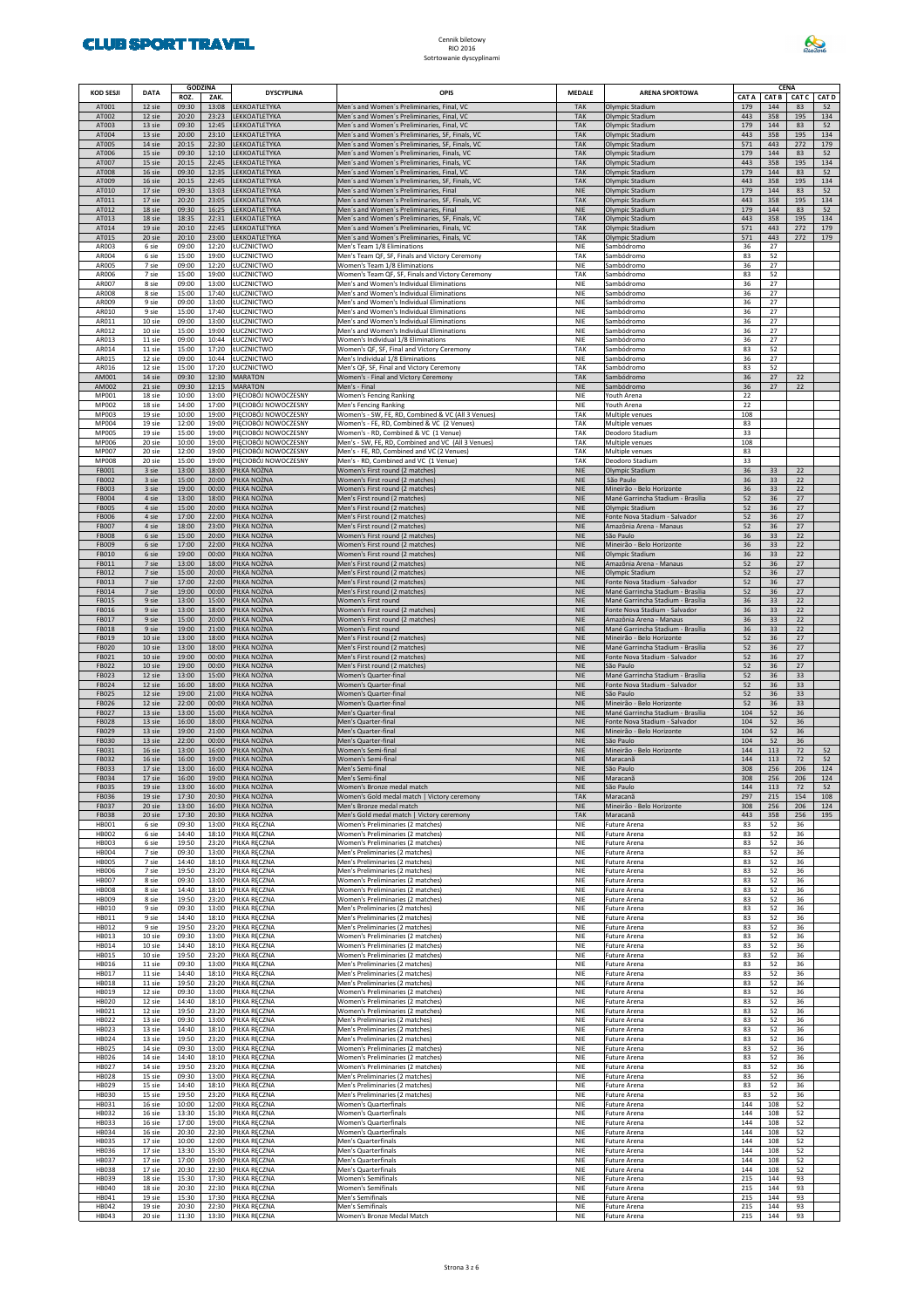

| KOD SESJI                    | <b>DATA</b>      | <b>GODZINA</b><br>ROZ. | ZAK.           | <b>DYSCYPLINA</b>                            | OPIS                                                                                               | <b>MEDALE</b>            | <b>ARENA SPORTOWA</b>                                              | CAT A      | CENA<br>CAT B | CAT C      | <b>CAT D</b> |
|------------------------------|------------------|------------------------|----------------|----------------------------------------------|----------------------------------------------------------------------------------------------------|--------------------------|--------------------------------------------------------------------|------------|---------------|------------|--------------|
| AT001                        | 12 sie           | 09:30                  | 13:08          | LEKKOATLETYKA                                | Men's and Women's Preliminaries, Final, VC                                                         | <b>TAK</b>               | Olympic Stadium                                                    | 179        | 144           | 83         | 52           |
| AT002<br>AT003               | 12 sie<br>13 sie | 20:20<br>09:30         | 23:23<br>12:45 | LEKKOATLETYKA<br>LEKKOATLETYKA               | Men's and Women's Preliminaries, Final, VC<br>Men's and Women's Preliminaries, Final, VC           | <b>TAK</b><br><b>TAK</b> | Olympic Stadium<br>Olympic Stadium                                 | 443<br>179 | 358<br>144    | 195<br>83  | 134<br>52    |
| AT004<br>AT005               | 13 sie<br>14 sie | 20:00<br>20:15         | 23:10<br>22:30 | LEKKOATLETYKA<br>LEKKOATLETYKA               | Men's and Women's Preliminaries, SF, Finals, VC<br>Men's and Women's Preliminaries, SF, Finals, VC | <b>TAK</b><br><b>TAK</b> | Olympic Stadium<br>Olympic Stadium                                 | 443<br>571 | 358<br>443    | 195<br>272 | 134<br>179   |
| AT006                        | 15 sie           | 09:30                  | 12:10          | LEKKOATLETYKA                                | Men's and Women's Preliminaries, Finals, VC                                                        | <b>TAK</b>               | Olympic Stadium                                                    | 179        | 144           | 83         | 52           |
| AT007<br>AT008               | 15 sie<br>16 sie | 20:15<br>09:30         | 22:45<br>12:35 | LEKKOATLETYKA<br>LEKKOATLETYKA               | Men's and Women's Preliminaries, Finals, VC<br>Men's and Women's Preliminaries, Final, VC          | <b>TAK</b><br><b>TAK</b> | Olympic Stadium<br>Olympic Stadium                                 | 443<br>179 | 358<br>144    | 195<br>83  | 134<br>52    |
| AT009<br>AT010               | 16 sie<br>17 sie | 20:15<br>09:30         | 22:45<br>13:03 | LEKKOATLETYKA<br>LEKKOATLETYKA               | Men's and Women's Preliminaries, SF, Finals, VC<br>Men's and Women's Preliminaries, Final          | <b>TAK</b><br><b>NIE</b> | Olympic Stadium<br>Olympic Stadium                                 | 443<br>179 | 358<br>144    | 195<br>83  | 134<br>52    |
| AT011                        | 17 sie           | 20:20                  | 23:05          | LEKKOATLETYKA                                | Men's and Women's Preliminaries, SF, Finals, VC                                                    | <b>TAK</b>               | Olympic Stadium                                                    | 443        | 358           | 195        | 134          |
| AT012<br>AT013               | 18 sie<br>18 sie | 09:30<br>18:35         | 16:25<br>22:31 | LEKKOATLETYKA<br>LEKKOATLETYKA               | Men's and Women's Preliminaries, Final<br>Men's and Women's Preliminaries, SF, Finals, VC          | <b>NIE</b><br><b>TAK</b> | Olympic Stadium<br>Olympic Stadium                                 | 179<br>443 | 144<br>358    | 83<br>195  | 52<br>134    |
| AT014<br>AT015               | 19 sie<br>20 sie | 20:10<br>20:10         | 22:45<br>23:00 | LEKKOATLETYKA<br>LEKKOATLETYKA               | Men's and Women's Preliminaries, Finals, VC<br>Men's and Women's Preliminaries, Finals, VC         | <b>TAK</b><br><b>TAK</b> | Olympic Stadium<br>Olympic Stadium                                 | 571<br>571 | 443<br>443    | 272<br>272 | 179<br>179   |
| AR003                        | 6 sie            | 09:00                  | 12:20          | ŁUCZNICTWO                                   | Men's Team 1/8 Eliminations                                                                        | <b>NIE</b>               | Sambódromo                                                         | 36         | 27            |            |              |
| AR004<br>AR005               | 6 sie<br>7 sie   | 15:00<br>09:00         | 19:00<br>12:20 | ŁUCZNICTWO<br>ŁUCZNICTWO                     | Men's Team QF, SF, Finals and Victory Ceremony<br>Women's Team 1/8 Eliminations                    | TAK<br>NIE               | Sambódromo<br>Sambódromo                                           | 83<br>36   | 52<br>27      |            |              |
| AR006<br>AR007               | 7 sie<br>8 sie   | 15:00<br>09:00         | 19:00<br>13:00 | ŁUCZNICTWO<br>ŁUCZNICTWO                     | Women's Team QF, SF, Finals and Victory Ceremony                                                   | TAK<br><b>NIE</b>        | Sambódromo                                                         | 83<br>36   | 52<br>27      |            |              |
| AR008                        | 8 sie            | 15:00                  | 17:40          | ŁUCZNICTWO                                   | Men's and Women's Individual Eliminations<br>Men's and Women's Individual Eliminations             | NIE                      | Sambódromo<br>Sambódromo                                           | 36         | 27            |            |              |
| AR009<br>AR010               | 9 sie<br>9 sie   | 09:00<br>15:00         | 13:00<br>17:40 | ŁUCZNICTWO<br>ŁUCZNICTWO                     | Men's and Women's Individual Eliminations<br>Men's and Women's Individual Eliminations             | NIE<br>NIE               | Sambódromo<br>Sambódromo                                           | 36<br>36   | 27<br>27      |            |              |
| AR011<br>AR012               | 10 sie<br>10 sie | 09:00<br>15:00         | 13:00<br>19:00 | ŁUCZNICTWO<br>ŁUCZNICTWO                     | Men's and Women's Individual Eliminations<br>Men's and Women's Individual Eliminations             | <b>NIE</b><br>NIE        | Sambódromo<br>Sambódromo                                           | 36<br>36   | 27<br>27      |            |              |
| AR013                        | 11 sie           | 09:00                  | 10:44          | ŁUCZNICTWO                                   | Women's Individual 1/8 Eliminations                                                                | NIE                      | Sambódromo                                                         | 36         | 27            |            |              |
| AR014<br>AR015               | 11 sie<br>12 sie | 15:00<br>09:00         | 17:20<br>10:44 | ŁUCZNICTWO<br>ŁUCZNICTWO                     | Women's QF, SF, Final and Victory Ceremony<br>Men's Individual 1/8 Eliminations                    | TAK<br><b>NIE</b>        | Sambódromo<br>Sambódromo                                           | 83<br>36   | 52<br>27      |            |              |
| AR016<br>AM001               | 12 sie<br>14 sie | 15:00<br>09:30         | 17:20<br>12:30 | ŁUCZNICTWO<br><b>MARATON</b>                 | Men's QF, SF, Final and Victory Ceremony                                                           | TAK<br><b>TAK</b>        | Sambódromo<br>Sambódromo                                           | 83<br>36   | 52<br>27      | 22         |              |
| AM002                        | 21 sie           | 09:30                  | 12:15          | <b>MARATON</b>                               | Women's - Final and Victory Ceremony<br>Men's - Final                                              | <b>NIE</b>               | Sambódromo                                                         | 36         | 27            | 22         |              |
| MP001<br>MP002               | 18 sie<br>18 sie | 10:00<br>14:00         | 13:00<br>17:00 | PIECIOBÓJ NOWOCZESNY<br>PIĘCIOBÓJ NOWOCZESNY | <b>Women's Fencing Ranking</b><br>Men's Fencing Ranking                                            | <b>NIE</b><br><b>NIE</b> | Youth Arena<br>Youth Arena                                         | 22<br>22   |               |            |              |
| MP003                        | 19 sie           | 10:00                  | 19:00          | PIĘCIOBÓJ NOWOCZESNY                         | Women's - SW, FE, RD, Combined & VC (All 3 Venues)                                                 | TAK                      | Multiple venues                                                    | 108        |               |            |              |
| MP004<br>MP005               | 19 sie<br>19 sie | 12:00<br>15:00         | 19:00<br>19:00 | PIECIOBÓJ NOWOCZESNY<br>PIECIOBÓJ NOWOCZESNY | Women's - FE, RD, Combined & VC (2 Venues)<br>Women's - RD, Combined & VC (1 Venue)                | TAK<br>TAK               | Multiple venues<br>Deodoro Stadium                                 | 83<br>33   |               |            |              |
| MP006<br>MP007               | 20 sie<br>20 sie | 10:00<br>12:00         | 19:00<br>19:00 | PIECIOBÓJ NOWOCZESNY<br>PIĘCIOBÓJ NOWOCZESNY | Men's - SW, FE, RD, Combined and VC (All 3 Venues)<br>Men's - FE, RD, Combined and VC (2 Venues)   | TAK<br>TAK               | Multiple venues<br>Multiple venues                                 | 108<br>83  |               |            |              |
| MP008                        | 20 sie           | 15:00                  | 19:00          | PIĘCIOBÓJ NOWOCZESNY                         | Men's - RD. Combined and VC (1 Venue)                                                              | TAK                      | Deodoro Stadium                                                    | 33         |               |            |              |
| FB001<br><b>FB002</b>        | 3 sie<br>3 sie   | 13:00<br>15:00         | 18:00<br>20:00 | PIŁKA NOŻNA<br>PIŁKA NOŻNA                   | Women's First round (2 matches)<br>Women's First round (2 matches)                                 | <b>NIE</b><br><b>NIE</b> | Olympic Stadium<br>São Paulo                                       | 36<br>36   | 33<br>33      | 22<br>22   |              |
| <b>FB003</b><br><b>FB004</b> | 3 sie<br>4 sie   | 19:00<br>13:00         | 00:00<br>18:00 | PIŁKA NOŻNA<br>PIŁKA NOŻNA                   | Women's First round (2 matches)<br>Men's First round (2 matches)                                   | <b>NIE</b><br><b>NIE</b> | Mineirão - Belo Horizonte<br>Mané Garrincha Stadium - Brasília     | 36<br>52   | 33<br>36      | 22<br>27   |              |
| <b>FB005</b>                 | 4 sie            | 15:00                  | 20:00          | PIŁKA NOŻNA                                  | Men's First round (2 matches)                                                                      | <b>NIE</b>               | Olympic Stadium                                                    | 52         | 36            | 27         |              |
| <b>FB006</b><br><b>FB007</b> | 4 sie<br>4 sie   | 17:00<br>18:00         | 22:00<br>23:00 | PIŁKA NOŻNA<br>PIŁKA NOŻNA                   | Men's First round (2 matches)<br>Men's First round (2 matches)                                     | <b>NIE</b><br><b>NIE</b> | Fonte Nova Stadium - Salvador<br>Amazônia Arena - Manaus           | 52<br>52   | 36<br>36      | 27<br>27   |              |
| <b>FB008</b><br><b>FB009</b> | 6 sie<br>6 sie   | 15:00<br>17:00         | 20:00<br>22:00 | IŁKA NOŻNA<br>IŁKA NOŻNA                     | Women's First round (2 matches)<br>Women's First round (2 matches)                                 | <b>NIE</b><br><b>NIE</b> | São Paulo<br>Mineirão - Belo Horizonte                             | 36<br>36   | 33<br>33      | 22<br>22   |              |
| FB010                        | 6 sie            | 19:00                  | 00:00          | PIŁKA NOŻNA                                  | Women's First round (2 matches)                                                                    | <b>NIE</b>               | Olympic Stadium                                                    | 36         | 33            | 22         |              |
| FB011<br>FB012               | 7 sie<br>7 sie   | 13:00<br>15:00         | 18:00<br>20:00 | IŁKA NOŻNA<br>PIŁKA NOŻNA                    | Men's First round (2 matches)<br>Men's First round (2 matches)                                     | <b>NIE</b><br><b>NIE</b> | Amazônia Arena - Manaus<br>Olympic Stadium                         | 52<br>52   | 36<br>36      | 27<br>27   |              |
| FB013<br>FB014               | 7 sie<br>7 sie   | 17:00<br>19:00         | 22:00<br>00:00 | PIŁKA NOŻNA<br>IŁKA NOŻNA                    | Men's First round (2 matches)<br>Men's First round (2 matches)                                     | <b>NIE</b><br><b>NIE</b> | Fonte Nova Stadium - Salvador<br>Mané Garrincha Stadium - Brasília | 52<br>52   | 36<br>36      | 27<br>27   |              |
| <b>FB015</b>                 | 9 sie            | 13:00                  | 15:00          | PIŁKA NOŻNA                                  | Women's First round                                                                                | <b>NIE</b>               | Mané Garrincha Stadium - Brasília                                  | 36         | 33            | 22         |              |
| FB016<br>FB017               | 9 sie<br>9 sie   | 13:00<br>15:00         | 18:00<br>20:00 | PIŁKA NOŻNA<br>IŁKA NOŻNA                    | Women's First round (2 matches)<br>Women's First round (2 matches)                                 | <b>NIE</b><br><b>NIE</b> | Fonte Nova Stadium - Salvador<br>Amazônia Arena - Manaus           | 36<br>36   | 33<br>33      | 22<br>22   |              |
| <b>FB018</b><br>FB019        | 9 sie<br>10 sie  | 19:00<br>13:00         | 21:00<br>18:00 | PIŁKA NOŻNA<br>IŁKA NOŻNA                    | Women's First round<br>Men's First round (2 matches)                                               | <b>NIE</b><br><b>NIE</b> | Mané Garrincha Stadium - Brasília<br>Mineirão - Belo Horizonte     | 36<br>52   | 33<br>36      | 22<br>27   |              |
| <b>FB020</b>                 | 10 sie           | 13:00                  | 18:00          | PIŁKA NOŻNA                                  | Men's First round (2 matches)                                                                      | <b>NIE</b>               | Mané Garrincha Stadium - Brasília                                  | 52         | 36            | 27         |              |
| FB021<br><b>FB022</b>        | 10 sie<br>10 sie | 19:00<br>19:00         | 00:00<br>00:00 | PIŁKA NOŻNA<br>IŁKA NOŻNA                    | Men's First round (2 matches)<br>Men's First round (2 matches)                                     | <b>NIE</b><br><b>NIE</b> | Fonte Nova Stadium - Salvador<br>São Paulo                         | 52<br>52   | 36<br>36      | 27<br>27   |              |
| <b>FB023</b><br><b>FB024</b> | 12 sie<br>12 sie | 13:00<br>16:00         | 15:00<br>18:00 | PIŁKA NOŻNA<br>PIŁKA NOŻNA                   | Women's Quarter-final<br>Women's Quarter-final                                                     | <b>NIE</b><br><b>NIE</b> | Mané Garrincha Stadium - Brasília<br>Fonte Nova Stadium - Salvador | 52<br>52   | 36<br>36      | 33<br>33   |              |
| <b>FB025</b>                 | 12 sie           | 19:00                  | 21:00          | IŁKA NOŻNA                                   | Women's Quarter-final                                                                              | <b>NIE</b>               | São Paulo                                                          | 52         | 36            | 33         |              |
| <b>FB026</b><br><b>FB027</b> | 12 sie<br>13 sie | 22:00<br>13:00         | 00:00<br>15:00 | PIŁKA NOŻNA<br>IŁKA NOŻNA                    | Women's Quarter-final<br>Men's Quarter-final                                                       | <b>NIE</b><br><b>NIE</b> | Mineirão - Belo Horizonte<br>Mané Garrincha Stadium - Brasília     | 52<br>104  | 36<br>52      | 33<br>36   |              |
| <b>FB028</b><br>FB029        | 13 sie<br>13 sie | 16:00<br>19:00         | 18:00<br>21:00 | IŁKA NOŻNA<br>IŁKA NOŻNA                     | Men's Quarter-final<br>Men's Quarter-final                                                         | <b>NIE</b><br><b>NIE</b> | Fonte Nova Stadium - Salvador<br>Mineirão - Belo Horizonte         | 104<br>104 | 52<br>52      | 36<br>36   |              |
| <b>FB030</b>                 | 13 sie           | 22:00                  | 00:00          | IŁKA NOŻNA                                   | Men's Quarter-final                                                                                | <b>NIE</b>               | São Paulo                                                          | 104        | 52            | 36         |              |
| FB031<br>FB032               | 16 sie<br>16 sie | 13:00<br>16:00         | 16:00<br>19:00 | IŁKA NOŻNA<br>PIŁKA NOŻNA                    | Women's Semi-final<br>Women's Semi-final                                                           | <b>NIE</b><br><b>NIE</b> | Mineirão - Belo Horizonte<br>Maracanã                              | 144<br>144 | 113<br>113    | 72<br>72   | 52<br>52     |
| FB033<br><b>FB034</b>        | 17 sie<br>17 sie | 13:00<br>16:00         | 16:00<br>19:00 | PIŁKA NOŻNA<br>PIŁKA NOŻNA                   | Men's Semi-final<br>Men's Semi-final                                                               | <b>NIE</b><br><b>NIF</b> | São Paulo<br>Maracanã                                              | 308<br>308 | 256<br>256    | 206<br>206 | 124<br>124   |
| FB035                        | 19 sie           | 13:00                  | 16:00          | PIŁKA NOŻNA                                  | Women's Bronze medal match                                                                         | <b>NIE</b>               | São Paulo                                                          | 144        | 113           | 72         | 52           |
| <b>FB036</b><br><b>FB037</b> | 19 sie<br>20 sie | 17:30<br>13:00         | 20:30<br>16:00 | PIŁKA NOŻNA<br>PIŁKA NOŻNA                   | Women's Gold medal match   Victory ceremony<br>Men's Bronze medal match                            | <b>TAK</b><br><b>NIE</b> | Maracanã<br>Mineirão - Belo Horizonte                              | 297<br>308 | 215<br>256    | 154<br>206 | 108<br>124   |
| <b>FB038</b><br><b>HB001</b> | 20 sie<br>6 sie  | 17:30<br>09:30         | 20:30<br>13:00 | PIŁKA NOŻNA<br>PIŁKA RĘCZNA                  | Men's Gold medal match   Victory ceremony<br>Women's Preliminaries (2 matches)                     | <b>TAK</b><br>NIE        | Maracanã<br>Future Arena                                           | 443<br>83  | 358<br>52     | 256<br>36  | 195          |
| <b>HB002</b>                 | 6 sie            | 14:40                  | 18:10          | <b>ILKA RECZNA</b>                           | Women's Preliminaries (2 matches)                                                                  | NIE                      | Future Arena                                                       | 83         | 52            | 36         |              |
| <b>HB003</b><br><b>HB004</b> | 6 sie<br>7 sie   | 19:50<br>09:30         | 23:20<br>13:00 | PIŁKA RĘCZNA<br><b>PIŁKA RECZNA</b>          | Women's Preliminaries (2 matches)<br>Men's Preliminaries (2 matches)                               | NIE<br>NIE               | Future Arena<br>Future Arena                                       | 83<br>83   | 52<br>52      | 36<br>36   |              |
| <b>HB005</b><br><b>HB006</b> | 7 sie<br>7 sie   | 14:40<br>19:50         | 18:10<br>23:20 | PIŁKA RĘCZNA<br>PIŁKA RĘCZNA                 | Men's Preliminaries (2 matches)<br>Men's Preliminaries (2 matches)                                 | NIE<br>NIE               | Future Arena<br>Future Arena                                       | 83<br>83   | 52<br>52      | 36<br>36   |              |
| <b>HB007</b>                 | 8 sie            | 09:30                  | 13:00          | <b>ILKA RECZNA</b>                           | Women's Preliminaries (2 matches)                                                                  | NIE                      | Future Arena                                                       | 83         | 52            | 36         |              |
| <b>HB008</b><br><b>HB009</b> | 8 sie<br>8 sie   | 14:40<br>19:50         | 18:10<br>23:20 | PIŁKA RĘCZNA<br>PIŁKA RECZNA                 | Women's Preliminaries (2 matches)<br>Women's Preliminaries (2 matches)                             | NIE<br>NIE               | Future Arena<br>Future Arena                                       | 83<br>83   | 52<br>52      | 36<br>36   |              |
| HB010<br>HB011               | 9 sie<br>9 sie   | 09:30<br>14:40         | 13:00<br>18:10 | <b>ILKA RECZNA</b><br>PIŁKA RĘCZNA           | Men's Preliminaries (2 matches)<br>Men's Preliminaries (2 matches)                                 | NIE<br>NIE               | <b>Future Arena</b><br>Future Arena                                | 83<br>83   | 52<br>52      | 36<br>36   |              |
| HB012<br>HB013               | 9 sie<br>10 sie  | 19:50<br>09:30         | 23:20<br>13:00 | PIŁKA RĘCZNA                                 | Men's Preliminaries (2 matches)<br>Women's Preliminaries (2 matches)                               | NIE<br>NIE               | Future Arena                                                       | 83<br>83   | 52<br>52      | 36<br>36   |              |
| HB014                        | 10 sie           | 14:40                  | 18:10          | PIŁKA RĘCZNA<br>PIŁKA RĘCZNA                 | Women's Preliminaries (2 matches)                                                                  | NIE                      | Future Arena<br>Future Arena                                       | 83         | 52            | 36         |              |
| <b>HB015</b><br>HB016        | 10 sie<br>11 sie | 19:50<br>09:30         | 23:20<br>13:00 | PIŁKA RĘCZNA<br>PIŁKA RĘCZNA                 | Women's Preliminaries (2 matches)<br>Men's Preliminaries (2 matches)                               | NIE<br>NIE               | Future Arena<br>Future Arena                                       | 83<br>83   | 52<br>52      | 36<br>36   |              |
| HB017<br><b>HB018</b>        | 11 sie<br>11 sie | 14:40<br>19:50         | 18:10<br>23:20 | PIŁKA RĘCZNA                                 | Men's Preliminaries (2 matches)<br>Men's Preliminaries (2 matches)                                 | NIE<br>NIE               | Future Arena<br>Future Arena                                       | 83<br>83   | 52<br>52      | 36<br>36   |              |
| HB019                        | 12 sie           | 09:30                  | 13:00          | PIŁKA RĘCZNA<br>PIŁKA RĘCZNA                 | Women's Preliminaries (2 matches)                                                                  | NIE                      | Future Arena                                                       | 83         | 52            | 36         |              |
| HB020<br>HB021               | 12 sie<br>12 sie | 14:40<br>19:50         | 18:10<br>23:20 | PIŁKA RĘCZNA<br>PIŁKA RĘCZNA                 | Women's Preliminaries (2 matches)<br>Women's Preliminaries (2 matches)                             | NIE<br>NIE               | Future Arena<br>Future Arena                                       | 83<br>83   | 52<br>52      | 36<br>36   |              |
| HB022                        | 13 sie           | 09:30                  | 13:00          | PIŁKA RĘCZNA                                 | Men's Preliminaries (2 matches)                                                                    | NIE                      | Future Arena                                                       | 83         | 52            | 36         |              |
| <b>HB023</b><br>HB024        | 13 sie<br>13 sie | 14:40<br>19:50         | 18:10<br>23:20 | PIŁKA RĘCZNA<br>PIŁKA RĘCZNA                 | Men's Preliminaries (2 matches)<br>Men's Preliminaries (2 matches)                                 | NIE<br>NIE               | Future Arena<br>Future Arena                                       | 83<br>83   | 52<br>52      | 36<br>36   |              |
| <b>HB025</b><br>HB026        | 14 sie<br>14 sie | 09:30<br>14:40         | 13:00<br>18:10 | PIŁKA RĘCZNA<br>PIŁKA RĘCZNA                 | Women's Preliminaries (2 matches)<br>Women's Preliminaries (2 matches)                             | NIE<br>NIE               | Future Arena<br>Future Arena                                       | 83<br>83   | 52<br>52      | 36<br>36   |              |
| <b>HB027</b><br><b>HB028</b> | 14 sie<br>15 sie | 19:50<br>09:30         | 23:20<br>13:00 | PIŁKA RĘCZNA<br>PIŁKA RĘCZNA                 | Women's Preliminaries (2 matches)<br>Men's Preliminaries (2 matches)                               | NIE<br>NIE               | Future Arena<br>Future Arena                                       | 83<br>83   | 52<br>52      | 36<br>36   |              |
| HB029                        | 15 sie           | 14:40                  | 18:10          | PIŁKA RĘCZNA                                 | Men's Preliminaries (2 matches)                                                                    | NIE                      | Future Arena                                                       | 83         | 52            | 36         |              |
| <b>HB030</b><br>HB031        | 15 sie<br>16 sie | 19:50<br>10:00         | 23:20<br>12:00 | PIŁKA RĘCZNA<br><b>ILKA RECZNA</b>           | Men's Preliminaries (2 matches)<br><b>Women's Quarterfinals</b>                                    | NIE<br>NIE               | Future Arena<br>Future Arena                                       | 83<br>144  | 52<br>108     | 36<br>52   |              |
| <b>HB032</b>                 | 16 sie           | 13:30                  | 15:30          | <b>ILKA RECZNA</b>                           | Women's Quarterfinals                                                                              | NIE                      | Future Arena                                                       | 144        | 108           | 52         |              |
| <b>HB033</b><br>HB034        | 16 sie<br>16 sie | 17:00<br>20:30         | 19:00<br>22:30 | <b>ILKA RECZNA</b><br><b>ILKA RĘCZNA</b>     | <b>Women's Quarterfinals</b><br><b>Women's Quarterfinals</b>                                       | NIE<br>NIE               | Future Arena<br>Future Arena                                       | 144<br>144 | 108<br>108    | 52<br>52   |              |
| <b>HB035</b><br>HB036        | 17 sie<br>17 sie | 10:00<br>13:30         | 12:00<br>15:30 | PIŁKA RĘCZNA<br>PIŁKA RĘCZNA                 | <b>Men's Quarterfinals</b><br>Men's Quarterfinals                                                  | NIE<br>NIE               | Future Arena<br>Future Arena                                       | 144<br>144 | 108<br>108    | 52<br>52   |              |
| <b>HB037</b>                 | 17 sie           | 17:00                  | 19:00          | PIŁKA RĘCZNA                                 | Men's Quarterfinals                                                                                | NIE                      | Future Arena                                                       | 144        | 108           | 52         |              |
| <b>HB038</b><br>HB039        | 17 sie<br>18 sie | 20:30<br>15:30         | 22:30<br>17:30 | <b>ILKA RECZNA</b><br><b>ILKA RECZNA</b>     | <b>Men's Quarterfinals</b><br><b>Women's Semifinals</b>                                            | NIE<br>NIE               | Future Arena<br>Future Arena                                       | 144<br>215 | 108<br>144    | 52<br>93   |              |
| HB040<br>HB041               | 18 sie<br>19 sie | 20:30<br>15:30         | 22:30<br>17:30 | <b>ILKA RECZNA</b><br><b>ILKA RECZNA</b>     | <b>Women's Semifinals</b><br>Men's Semifinals                                                      | NIE<br>NIE               | Future Arena<br>Future Arena                                       | 215<br>215 | 144<br>144    | 93<br>93   |              |
| <b>HB042</b>                 | 19 sie           | 20:30                  | 22:30          | <b>ILKA RĘCZNA</b>                           | Men's Semifinals                                                                                   | NIE                      | Future Arena                                                       | 215        | 144           | 93         |              |
| <b>HB043</b>                 | 20 sie           | 11:30                  | 13:30          | PIŁKA RĘCZNA                                 | Women's Bronze Medal Match                                                                         | NIE                      | Future Arena                                                       | 215        | 144           | 93         |              |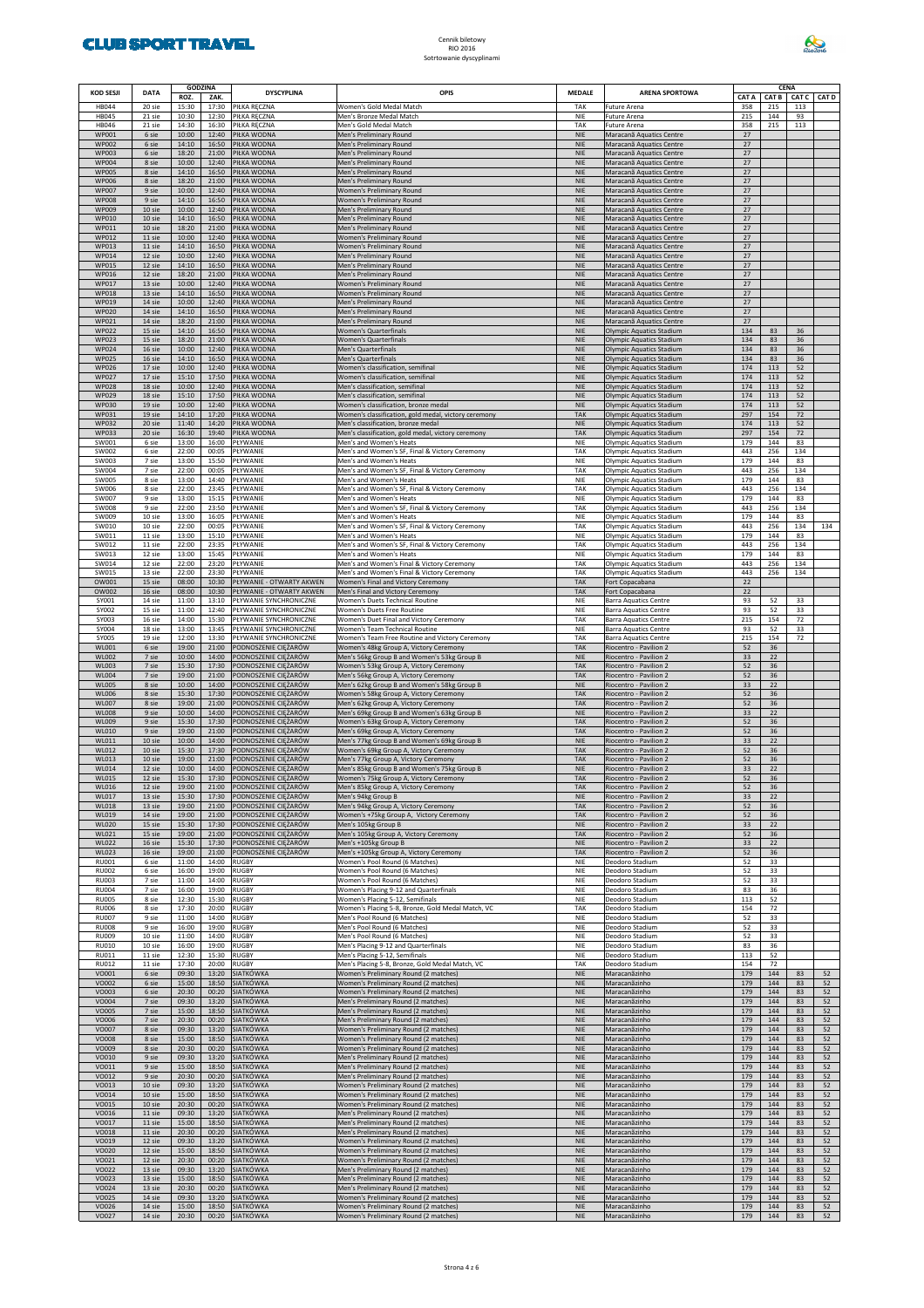

| <b>KOD SESJI</b>             | <b>DATA</b>      | <b>GODZINA</b><br>ROZ.<br>ZAK. |                | <b>DYSCYPLINA</b>                                    | OPIS                                                                                         | <b>MEDALE</b>            | <b>ARENA SPORTOWA</b>                                              | CAT A      |            | CENA<br>CAT B CAT C<br><b>CAT D</b> |          |
|------------------------------|------------------|--------------------------------|----------------|------------------------------------------------------|----------------------------------------------------------------------------------------------|--------------------------|--------------------------------------------------------------------|------------|------------|-------------------------------------|----------|
| HB044                        | 20 sie           | 15:30                          | 17:30          | PIŁKA RĘCZNA                                         | Women's Gold Medal Match                                                                     | TAK                      | <b>Future Arena</b>                                                | 358        | 215        | 113                                 |          |
| <b>HB045</b><br>HB046        | 21 sie<br>21 sie | 10:30<br>14:30                 | 12:30<br>16:30 | PIŁKA RĘCZNA<br>PIŁKA RĘCZNA                         | Men's Bronze Medal Match<br>Men's Gold Medal Match                                           | <b>NIE</b><br>TAK        | <b>Future Arena</b><br><b>Future Arena</b>                         | 215<br>358 | 144<br>215 | 93<br>113                           |          |
| <b>WP001</b><br><b>WP002</b> | 6 sie<br>6 sie   | 10:00<br>14:10                 | 12:40<br>16:50 | PIŁKA WODNA<br>PIŁKA WODNA                           | Men's Preliminary Round<br>Men's Preliminary Round                                           | <b>NIE</b><br><b>NIE</b> | Maracanã Aquatics Centre<br>Maracanã Aquatics Centre               | 27<br>27   |            |                                     |          |
| <b>WP003</b>                 | 6 sie            | 18:20                          | 21:00          | PIŁKA WODNA                                          | Men's Preliminary Round                                                                      | <b>NIE</b>               | Maracanã Aquatics Centre                                           | 27         |            |                                     |          |
| <b>WP004</b><br><b>WP005</b> | 8 sie<br>8 sie   | 10:00<br>14:10                 | 12:40<br>16:50 | PIŁKA WODNA<br>PIŁKA WODNA                           | Men's Preliminary Round<br>Men's Preliminary Round                                           | <b>NIE</b><br><b>NIE</b> | Maracanã Aquatics Centre<br>Maracanã Aquatics Centre               | 27<br>27   |            |                                     |          |
| <b>WP006</b><br><b>WP007</b> | 8 sie<br>9 sie   | 18:20<br>10:00                 | 21:00<br>12:40 | <b>PIŁKA WODNA</b><br>PIŁKA WODNA                    | Men's Preliminary Round<br>Women's Preliminary Round                                         | <b>NIE</b><br><b>NIE</b> | Maracanã Aquatics Centre<br>Maracanã Aquatics Centre               | 27<br>27   |            |                                     |          |
| <b>WP008</b>                 | 9 sie            | 14:10                          | 16:50          | PIŁKA WODNA                                          | <b>Women's Preliminary Round</b>                                                             | <b>NIE</b>               | Maracanã Aquatics Centre                                           | 27         |            |                                     |          |
| <b>WP009</b><br>WP010        | 10 sie<br>10 sie | 10:00<br>14:10                 | 12:40<br>16:50 | PIŁKA WODNA<br>PIŁKA WODNA                           | Men's Preliminary Round<br>Men's Preliminary Round                                           | <b>NIE</b><br><b>NIE</b> | Maracanã Aquatics Centre<br>Maracanã Aquatics Centre               | 27<br>27   |            |                                     |          |
| WP011                        | 10 sie           | 18:20                          | 21:00          | PIŁKA WODNA                                          | Men's Preliminary Round                                                                      | <b>NIE</b>               | Maracanã Aquatics Centre                                           | 27         |            |                                     |          |
| WP012<br>WP013               | 11 sie<br>11 sie | 10:00<br>14:10                 | 12:40<br>16:50 | PIŁKA WODNA<br>PIŁKA WODNA                           | Women's Preliminary Round<br><b>Women's Preliminary Round</b>                                | <b>NIE</b><br><b>NIE</b> | Maracanã Aquatics Centre<br>Maracanã Aquatics Centre               | 27<br>27   |            |                                     |          |
| WP014<br><b>WP015</b>        | 12 sie<br>12 sie | 10:00<br>14:10                 | 12:40<br>16:50 | <b>PIŁKA WODNA</b><br>PIŁKA WODNA                    | Men's Preliminary Round<br>Men's Preliminary Round                                           | <b>NIE</b><br><b>NIE</b> | Maracanã Aquatics Centre<br>Maracanã Aquatics Centre               | 27<br>27   |            |                                     |          |
| WP016                        | 12 sie           | 18:20                          | 21:00          | <b>PIŁKA WODNA</b>                                   | Men's Preliminary Round                                                                      | <b>NIE</b>               | Maracanã Aquatics Centre                                           | 27         |            |                                     |          |
| WP017<br><b>WP018</b>        | 13 sie<br>13 sie | 10:00<br>14:10                 | 12:40<br>16:50 | <b>PIŁKA WODNA</b><br>PIŁKA WODNA                    | Women's Preliminary Round<br><b>Women's Preliminary Round</b>                                | <b>NIE</b><br><b>NIE</b> | Maracanã Aquatics Centre<br>Maracanã Aquatics Centre               | 27<br>27   |            |                                     |          |
| WP019                        | 14 sie           | 10:00                          | 12:40          | <b>PIŁKA WODNA</b>                                   | Men's Preliminary Round                                                                      | <b>NIE</b>               | Maracanã Aquatics Centre                                           | 27         |            |                                     |          |
| <b>WP020</b><br>WP021        | 14 sie<br>14 sie | 14:10<br>18:20                 | 16:50<br>21:00 | PIŁKA WODNA<br>PIŁKA WODNA                           | Men's Preliminary Round<br>Men's Preliminary Round                                           | <b>NIE</b><br><b>NIE</b> | Maracanã Aquatics Centre<br>Maracanã Aquatics Centre               | 27<br>27   |            |                                     |          |
| <b>WP022</b><br><b>WP023</b> | 15 sie<br>15 sie | 14:10<br>18:20                 | 16:50<br>21:00 | PIŁKA WODNA<br>PIŁKA WODNA                           | <b>Women's Quarterfinals</b><br><b>Women's Quarterfinals</b>                                 | <b>NIE</b><br><b>NIE</b> | <b>Olympic Aquatics Stadium</b><br><b>Olympic Aquatics Stadium</b> | 134<br>134 | 83<br>83   | 36<br>36                            |          |
| <b>WP024</b>                 | 16 sie           | 10:00                          | 12:40          | PIŁKA WODNA                                          | Men's Quarterfinals                                                                          | <b>NIE</b>               | <b>Olympic Aquatics Stadium</b>                                    | 134        | 83         | 36                                  |          |
| <b>WP025</b><br><b>WP026</b> | 16 sie<br>17 sie | 14:10<br>10:00                 | 16:50<br>12:40 | PIŁKA WODNA<br>PIŁKA WODNA                           | <b>Men's Quarterfinals</b><br>Women's classification, semifinal                              | <b>NIE</b><br><b>NIE</b> | <b>Olympic Aquatics Stadium</b><br><b>Olympic Aquatics Stadium</b> | 134<br>174 | 83<br>113  | 36<br>52                            |          |
| <b>WP027</b><br><b>WP028</b> | 17 sie<br>18 sie | 15:10<br>10:00                 | 17:50<br>12:40 | PIŁKA WODNA<br>PIŁKA WODNA                           | Women's classification, semifinal<br>Men's classification, semifinal                         | <b>NIE</b><br><b>NIE</b> | <b>Olympic Aquatics Stadium</b>                                    | 174<br>174 | 113<br>113 | 52<br>52                            |          |
| <b>WP029</b>                 | 18 sie           | 15:10                          | 17:50          | PIŁKA WODNA                                          | Men's classification, semifinal                                                              | <b>NIE</b>               | <b>Olympic Aquatics Stadium</b><br><b>Olympic Aquatics Stadium</b> | 174        | 113        | 52                                  |          |
| <b>WP030</b><br>WP031        | 19 sie<br>19 sie | 10:00<br>14:10                 | 12:40<br>17:20 | PIŁKA WODNA<br>PIŁKA WODNA                           | Women's classification, bronze medal<br>Women's classification, gold medal, victory ceremony | <b>NIE</b><br><b>TAK</b> | <b>Olympic Aquatics Stadium</b><br><b>Olympic Aquatics Stadium</b> | 174<br>297 | 113<br>154 | 52<br>72                            |          |
| <b>WP032</b>                 | 20 sie           | 11:40                          | 14:20          | PIŁKA WODNA                                          | Men's classification, bronze medal                                                           | <b>NIE</b>               | <b>Olympic Aquatics Stadium</b>                                    | 174        | 113        | 52                                  |          |
| <b>WP033</b><br>SW001        | 20 sie<br>6 sie  | 16:30<br>13:00                 | 19:40<br>16:00 | PIŁKA WODNA<br>PŁYWANIE                              | Men's classification, gold medal, victory ceremony<br>Men's and Women's Heats                | <b>TAK</b><br><b>NIE</b> | <b>Olympic Aquatics Stadium</b><br>Olympic Aquatics Stadium        | 297<br>179 | 154<br>144 | 72<br>83                            |          |
| SW002<br>SW003               | 6 sie<br>7 sie   | 22:00<br>13:00                 | 00:05<br>15:50 | PŁYWANIE<br>PŁYWANIE                                 | Men's and Women's SF, Final & Victory Ceremony<br>Men's and Women's Heats                    | TAK<br><b>NIE</b>        | Olympic Aquatics Stadium<br>Olympic Aquatics Stadium               | 443<br>179 | 256<br>144 | 134<br>83                           |          |
| SW004                        | 7 sie            | 22:00                          | 00:05          | PŁYWANIE                                             | Men's and Women's SF, Final & Victory Ceremony                                               | TAK                      | Olympic Aquatics Stadium                                           | 443        | 256        | 134                                 |          |
| SW005<br>SW006               | 8 sie<br>8 sie   | 13:00<br>22:00                 | 14:40<br>23:45 | PŁYWANIE<br>PŁYWANIE                                 | Men's and Women's Heats<br>Men's and Women's SF, Final & Victory Ceremony                    | <b>NIE</b><br>TAK        | <b>Olympic Aquatics Stadium</b><br>Olympic Aquatics Stadium        | 179<br>443 | 144<br>256 | 83<br>134                           |          |
| SW007                        | 9 sie            | 13:00                          | 15:15          | PŁYWANIE                                             | Men's and Women's Heats                                                                      | <b>NIE</b>               | Olympic Aquatics Stadium                                           | 179        | 144        | 83                                  |          |
| SW008<br>SW009               | 9 sie<br>10 sie  | 22:00<br>13:00                 | 23:50<br>16:05 | PŁYWANIE<br>PŁYWANIE                                 | Men's and Women's SF, Final & Victory Ceremony<br>Men's and Women's Heats                    | TAK<br><b>NIE</b>        | Olympic Aquatics Stadium<br><b>Olympic Aquatics Stadium</b>        | 443<br>179 | 256<br>144 | 134<br>83                           |          |
| SW010<br>SW011               | 10 sie<br>11 sie | 22:00<br>13:00                 | 00:05<br>15:10 | PŁYWANIE<br>PŁYWANIE                                 | Men's and Women's SF, Final & Victory Ceremony<br>Men's and Women's Heats                    | TAK<br><b>NIE</b>        | Olympic Aquatics Stadium<br>Olympic Aquatics Stadium               | 443<br>179 | 256<br>144 | 134<br>83                           | 134      |
| SW012                        | 11 sie           | 22:00                          | 23:35          | PŁYWANIE                                             | Men's and Women's SF, Final & Victory Ceremony                                               | TAK                      | Olympic Aquatics Stadium                                           | 443        | 256        | 134                                 |          |
| SW013<br>SW014               | 12 sie<br>12 sie | 13:00<br>22:00                 | 15:45<br>23:20 | PŁYWANIE<br>PŁYWANIE                                 | Men's and Women's Heats<br>Men's and Women's Final & Victory Ceremony                        | NIE<br>TAK               | Olympic Aquatics Stadium<br>Olympic Aquatics Stadium               | 179<br>443 | 144<br>256 | 83<br>134                           |          |
| SW015                        | 13 sie           | 22:00                          | 23:30          | PŁYWANIE                                             | Men's and Women's Final & Victory Ceremony                                                   | TAK                      | Olympic Aquatics Stadium                                           | 443        | 256        | 134                                 |          |
| OW001<br>OW002               | 15 sie<br>16 sie | 08:00<br>08:00                 | 10:30<br>10:30 | PŁYWANIE - OTWARTY AKWEN<br>PŁYWANIE - OTWARTY AKWEN | <b>Women's Final and Victory Ceremony</b><br>Men's Final and Victory Ceremony                | <b>TAK</b><br><b>TAK</b> | Fort Copacabana<br>Fort Copacabana                                 | 22<br>22   |            |                                     |          |
| SY001<br>SY002               | 14 sie<br>15 sie | 11:00<br>11:00                 | 13:10<br>12:40 | PŁYWANIE SYNCHRONICZNE<br>PŁYWANIE SYNCHRONICZNE     | Women's Duets Technical Routine<br>Women's Duets Free Routine                                | <b>NIE</b><br>NIE        | <b>Barra Aquatics Centre</b><br><b>Barra Aquatics Centre</b>       | 93<br>93   | 52<br>52   | 33<br>33                            |          |
| SY003                        | 16 sie           | 14:00                          | 15:30          | PŁYWANIE SYNCHRONICZNE                               | Women's Duet Final and Victory Ceremony                                                      | TAK                      | <b>Barra Aquatics Centre</b>                                       | 215        | 154        | 72                                  |          |
| SY004<br><b>SY005</b>        | 18 sie<br>19 sie | 13:00<br>12:00                 | 13:45<br>13:30 | PŁYWANIE SYNCHRONICZNE<br>PŁYWANIE SYNCHRONICZNE     | Women's Team Technical Routine<br>Women's Team Free Routine and Victory Ceremony             | NIE<br>TAK               | <b>Barra Aquatics Centre</b><br><b>Barra Aquatics Centre</b>       | 93<br>215  | 52<br>154  | 33<br>72                            |          |
| <b>WL001</b><br><b>WL002</b> | 6 sie<br>7 sie   | 19:00<br>10:00                 | 21:00<br>14:00 | PODNOSZENIE CIĘŻARÓW<br>PODNOSZENIE CIĘŻARÓW         | Women's 48kg Group A, Victory Ceremony<br>Men's 56kg Group B and Women's 53kg Group B        | <b>TAK</b><br><b>NIE</b> | Riocentro - Pavilion 2<br>Riocentro - Pavilion 2                   | 52<br>33   | 36<br>22   |                                     |          |
| <b>WL003</b>                 | 7 sie            | 15:30                          | 17:30          | PODNOSZENIE CIĘŻARÓW                                 | Women's 53kg Group A, Victory Ceremony                                                       | <b>TAK</b>               | Riocentro - Pavilion 2                                             | 52         | 36         |                                     |          |
| <b>WL004</b><br><b>WL005</b> | 7 sie<br>8 sie   | 19:00<br>10:00                 | 21:00<br>14:00 | PODNOSZENIE CIĘŻARÓW<br>PODNOSZENIE CIĘŻARÓW         | Men's 56kg Group A, Victory Ceremony<br>Men's 62kg Group B and Women's 58kg Group B          | <b>TAK</b><br><b>NIE</b> | Riocentro - Pavilion 2<br>Riocentro - Pavilion 2                   | 52<br>33   | 36<br>22   |                                     |          |
| <b>WL006</b>                 | 8 sie            | 15:30                          | 17:30          | PODNOSZENIE CIĘŻARÓW                                 | Women's 58kg Group A, Victory Ceremony                                                       | <b>TAK</b>               | Riocentro - Pavilion 2                                             | 52         | 36         |                                     |          |
| <b>WL007</b><br><b>WL008</b> | 8 sie<br>9 sie   | 19:00<br>10:00                 | 21:00<br>14:00 | PODNOSZENIE CIEŻARÓW<br>PODNOSZENIE CIEŻARÓW         | Men's 62kg Group A, Victory Ceremony<br>Men's 69kg Group B and Women's 63kg Group B          | <b>TAK</b><br><b>NIE</b> | Riocentro - Pavilion 2<br>Riocentro - Pavilion 2                   | 52<br>33   | 36<br>22   |                                     |          |
| <b>WL009</b><br><b>WL010</b> | 9 sie<br>9 sie   | 15:30<br>19:00                 | 17:30<br>21:00 | PODNOSZENIE CIEŻARÓW<br>PODNOSZENIE CIEŻARÓW         | Women's 63kg Group A, Victory Ceremony<br>Men's 69kg Group A, Victory Ceremony               | <b>TAK</b><br><b>TAK</b> | Riocentro - Pavilion 2<br>Riocentro - Pavilion 2                   | 52<br>52   | 36<br>36   |                                     |          |
| WL011                        | 10 sie           | 10:00<br>14:00                 |                | PODNOSZENIE CIEŻARÓW                                 | Men's 77kg Group B and Women's 69kg Group B                                                  | <b>NIE</b>               | Riocentro - Pavilion 2                                             | 33         | 22         |                                     |          |
| <b>WL012</b><br><b>WL013</b> | 10 sie<br>10 sie | 15:30<br>19:00                 | 17:30<br>21:00 | PODNOSZENIE CIEŻARÓW<br>PODNOSZENIE CIEŻARÓW         | Women's 69kg Group A, Victory Ceremony<br>Men's 77kg Group A, Victory Ceremony               | <b>TAK</b><br><b>TAK</b> | Riocentro - Pavilion 2<br>Riocentro - Pavilion 2                   | 52<br>52   | 36<br>36   |                                     |          |
| <b>WL014</b><br>W1015        | 12 sie<br>12 sie | 10:00<br>15:30                 | 14:00<br>17:30 | PODNOSZENIE CIĘŻARÓW<br>PODNOSZENIE CIEŻARÓW         | Men's 85kg Group B and Women's 75kg Group B<br>Women's 75kg Group A. Victory Ceremony        | <b>NIE</b><br>TAK        | Riocentro - Pavilion 2<br><b>Riocentro - Pavilion 2</b>            | 33<br>52   | 22<br>36   |                                     |          |
| <b>WL016</b>                 | 12 sie           | 19:00                          | 21:00          | PODNOSZENIE CIĘŻARÓW                                 | Men's 85kg Group A, Victory Ceremony                                                         | <b>TAK</b>               | Riocentro - Pavilion 2                                             | 52         | 36         |                                     |          |
| <b>WL017</b><br><b>WL018</b> | 13 sie<br>13 sie | 15:30<br>19:00                 | 17:30<br>21:00 | PODNOSZENIE CIEŻARÓW<br>PODNOSZENIE CIEŻARÓW         | Men's 94kg Group B<br>Men's 94kg Group A. Victory Ceremony                                   | <b>NIE</b><br><b>TAK</b> | Riocentro - Pavilion 2<br>Riocentro - Pavilion 2                   | 33<br>52   | 22<br>36   |                                     |          |
| WL019                        | 14 sie           | 19:00                          | 21:00          | PODNOSZENIE CIEŻARÓW                                 | Women's +75kg Group A, Victory Ceremony                                                      | <b>TAK</b>               | Riocentro - Pavilion 2                                             | 52         | 36         |                                     |          |
| <b>WL020</b><br>WL021        | 15 sie<br>15 sie | 15:30<br>19:00                 | 17:30<br>21:00 | PODNOSZENIE CIEŻARÓW<br>PODNOSZENIE CIEŻARÓW         | Men's 105kg Group B<br>Men's 105kg Group A, Victory Ceremony                                 | NIE<br><b>TAK</b>        | Riocentro - Pavilion 2<br>Riocentro - Pavilion 2                   | 33<br>52   | 22<br>36   |                                     |          |
| <b>WL022</b><br><b>WL023</b> | 16 sie<br>16 sie | 15:30<br>19:00                 | 17:30<br>21:00 | PODNOSZENIE CIEŻARÓW<br>PODNOSZENIE CIEŻARÓW         | Men's +105kg Group B<br>Men's +105kg Group A, Victory Ceremony                               | <b>NIE</b><br><b>TAK</b> | Riocentro - Pavilion 2<br>Riocentro - Pavilion 2                   | 33<br>52   | 22<br>36   |                                     |          |
| <b>RU001</b>                 | 6 sie            | 11:00                          | 14:00          | RUGBY                                                | Women's Pool Round (6 Matches)                                                               | NIE                      | Deodoro Stadium                                                    | 52         | 33         |                                     |          |
| <b>RU002</b><br><b>RU003</b> | 6 sie<br>7 sie   | 16:00<br>11:00                 | 19:00<br>14:00 | RUGBY<br>RUGBY                                       | Women's Pool Round (6 Matches)<br>Women's Pool Round (6 Matches)                             | NIE<br>NIE               | Deodoro Stadium<br>Deodoro Stadium                                 | 52<br>52   | 33<br>33   |                                     |          |
| <b>RU004</b><br><b>RU005</b> | 7 sie<br>8 sie   | 16:00<br>12:30                 | 19:00<br>15:30 | RUGBY<br>RUGBY                                       | Women's Placing 9-12 and Quarterfinals<br>Women's Placing 5-12, Semifinals                   | NIE<br>NIE               | Deodoro Stadium<br>Deodoro Stadium                                 | 83<br>113  | 36<br>52   |                                     |          |
| <b>RU006</b>                 | 8 sie            | 17:30                          | 20:00          | RUGBY                                                | Women's Placing 5-8, Bronze, Gold Medal Match, VC                                            | TAK                      | Deodoro Stadium                                                    | 154        | 72         |                                     |          |
| <b>RU007</b><br><b>RU008</b> | 9 sie<br>9 sie   | 11:00<br>16:00                 | 14:00<br>19:00 | RUGBY<br>RUGBY                                       | Men's Pool Round (6 Matches)<br>Men's Pool Round (6 Matches)                                 | NIE<br>NIE               | Deodoro Stadium<br>Deodoro Stadium                                 | 52<br>52   | 33<br>33   |                                     |          |
| <b>RU009</b><br><b>RU010</b> | 10 sie<br>10 sie | 11:00<br>16:00                 | 14:00<br>19:00 | RUGBY<br>RUGBY                                       | Men's Pool Round (6 Matches)<br>Men's Placing 9-12 and Quarterfinals                         | NIE<br>NIE               | Deodoro Stadium<br>Deodoro Stadium                                 | 52<br>83   | 33<br>36   |                                     |          |
| RU011                        | 11 sie           | 12:30                          | 15:30          | RUGBY                                                | Men's Placing 5-12, Semifinals                                                               | NIE                      | Deodoro Stadium                                                    | 113        | 52         |                                     |          |
| <b>RU012</b><br>VO001        | 11 sie<br>6 sie  | 17:30<br>09:30                 | 20:00<br>13:20 | RUGBY<br>SIATKÓWKA                                   | Men's Placing 5-8, Bronze, Gold Medal Match, VC<br>Women's Preliminary Round (2 matches)     | TAK<br>NIE               | Deodoro Stadium<br>Maracanãzinho                                   | 154<br>179 | 72<br>144  | 83                                  | 52       |
| VO002                        | 6 sie            | 15:00                          | 18:50          | SIATKÓWKA                                            | Women's Preliminary Round (2 matches)                                                        | NIE                      | Maracanãzinho                                                      | 179        | 144        | 83                                  | 52       |
| VO003<br>VO004               | 6 sie<br>7 sie   | 20:30<br>09:30                 | 00:20<br>13:20 | SIATKÓWKA<br>SIATKÓWKA                               | Women's Preliminary Round (2 matches)<br>Men's Preliminary Round (2 matches)                 | <b>NIE</b><br>NIE        | Maracanãzinho<br>Maracanãzinho                                     | 179<br>179 | 144<br>144 | 83<br>83                            | 52<br>52 |
| <b>VO005</b><br>VO006        | 7 sie<br>7 sie   | 15:00<br>20:30                 | 18:50<br>00:20 | SIATKÓWKA<br>SIATKÓWKA                               | Men's Preliminary Round (2 matches)<br>Men's Preliminary Round (2 matches)                   | <b>NIE</b><br><b>NIE</b> | Maracanãzinho<br>Maracanãzinho                                     | 179<br>179 | 144<br>144 | 83<br>83                            | 52<br>52 |
| VO007                        | 8 sie            | 09:30                          | 13:20          | SIATKÓWKA                                            | Women's Preliminary Round (2 matches)                                                        | NIE                      | Maracanãzinho                                                      | 179        | 144        | 83                                  | 52       |
| <b>VO008</b><br>VO009        | 8 sie<br>8 sie   | 15:00<br>20:30                 | 18:50<br>00:20 | SIATKÓWKA<br>SIATKÓWKA                               | Women's Preliminary Round (2 matches)<br>Women's Preliminary Round (2 matches)               | <b>NIE</b><br>NIE        | Maracanãzinho<br>Maracanãzinho                                     | 179<br>179 | 144<br>144 | 83<br>83                            | 52<br>52 |
| VO010<br>VO011               | 9 sie<br>9 sie   | 09:30<br>15:00                 | 13:20<br>18:50 | SIATKÓWKA<br>SIATKÓWKA                               | Men's Preliminary Round (2 matches)<br>Men's Preliminary Round (2 matches)                   | <b>NIE</b><br><b>NIE</b> | Maracanãzinho<br>Maracanãzinho                                     | 179<br>179 | 144<br>144 | 83<br>83                            | 52<br>52 |
| VO012                        | 9 sie            | 20:30                          | 00:20          | SIATKÓWKA                                            | Men's Preliminary Round (2 matches)                                                          | NIE                      | Maracanãzinho                                                      | 179        | 144        | 83                                  | 52       |
| VO013<br>VO014               | 10 sie<br>10 sie | 09:30<br>15:00                 | 13:20<br>18:50 | SIATKÓWKA<br>SIATKÓWKA                               | Women's Preliminary Round (2 matches)<br>Women's Preliminary Round (2 matches)               | <b>NIE</b><br><b>NIE</b> | Maracanãzinho<br>Maracanãzinho                                     | 179<br>179 | 144<br>144 | 83<br>83                            | 52<br>52 |
| VO015                        | 10 sie           | 20:30                          | 00:20          | SIATKÓWKA                                            | Women's Preliminary Round (2 matches)                                                        | NIE                      | Maracanãzinho                                                      | 179        | 144        | 83                                  | 52       |
| VO016<br>VO017               | 11 sie<br>11 sie | 09:30<br>15:00                 | 13:20<br>18:50 | SIATKÓWKA<br>SIATKÓWKA                               | Men's Preliminary Round (2 matches)<br>Men's Preliminary Round (2 matches)                   | <b>NIE</b><br>NIE        | Maracanãzinho<br>Maracanãzinho                                     | 179<br>179 | 144<br>144 | 83<br>83                            | 52<br>52 |
| <b>VO018</b><br>VO019        | 11 sie<br>12 sie | 20:30<br>09:30                 | 00:20<br>13:20 | SIATKÓWKA<br>SIATKÓWKA                               | Men's Preliminary Round (2 matches)<br>Women's Preliminary Round (2 matches)                 | <b>NIE</b><br><b>NIE</b> | Maracanãzinho<br>Maracanãzinho                                     | 179<br>179 | 144<br>144 | 83<br>83                            | 52<br>52 |
| VO020                        | 12 sie           | 15:00                          | 18:50          | SIATKÓWKA                                            | Women's Preliminary Round (2 matches)                                                        | NIE                      | Maracanãzinho                                                      | 179        | 144        | 83                                  | 52       |
| VO021<br>VO022               | 12 sie<br>13 sie | 20:30<br>09:30                 | 00:20<br>13:20 | SIATKÓWKA<br>SIATKÓWKA                               | Women's Preliminary Round (2 matches)<br>Men's Preliminary Round (2 matches)                 | <b>NIE</b><br>NIE        | Maracanãzinho<br>Maracanãzinho                                     | 179<br>179 | 144<br>144 | 83<br>83                            | 52<br>52 |
| VO023<br>VO024               | 13 sie<br>13 sie | 15:00<br>20:30                 | 18:50<br>00:20 | SIATKÓWKA<br>SIATKÓWKA                               | Men's Preliminary Round (2 matches)<br>Men's Preliminary Round (2 matches)                   | <b>NIE</b><br><b>NIE</b> | Maracanãzinho<br>Maracanãzinho                                     | 179<br>179 | 144<br>144 | 83<br>83                            | 52<br>52 |
| VO025                        | 14 sie           | 09:30<br>13:20                 |                | SIATKÓWKA                                            | Women's Preliminary Round (2 matches)                                                        | <b>NIE</b>               | Maracanãzinho                                                      | 179        | 144        | 83                                  | 52       |
| VO026<br>VO027               | 14 sie<br>14 sie | 15:00<br>18:50<br>20:30        | 00:20          | SIATKÓWKA<br>SIATKÓWKA                               | Women's Preliminary Round (2 matches)<br>Women's Preliminary Round (2 matches)               | <b>NIE</b><br>NIE        | Maracanãzinho<br>Maracanãzinho                                     | 179<br>179 | 144<br>144 | 83<br>83                            | 52<br>52 |
|                              |                  |                                |                |                                                      |                                                                                              |                          |                                                                    |            |            |                                     |          |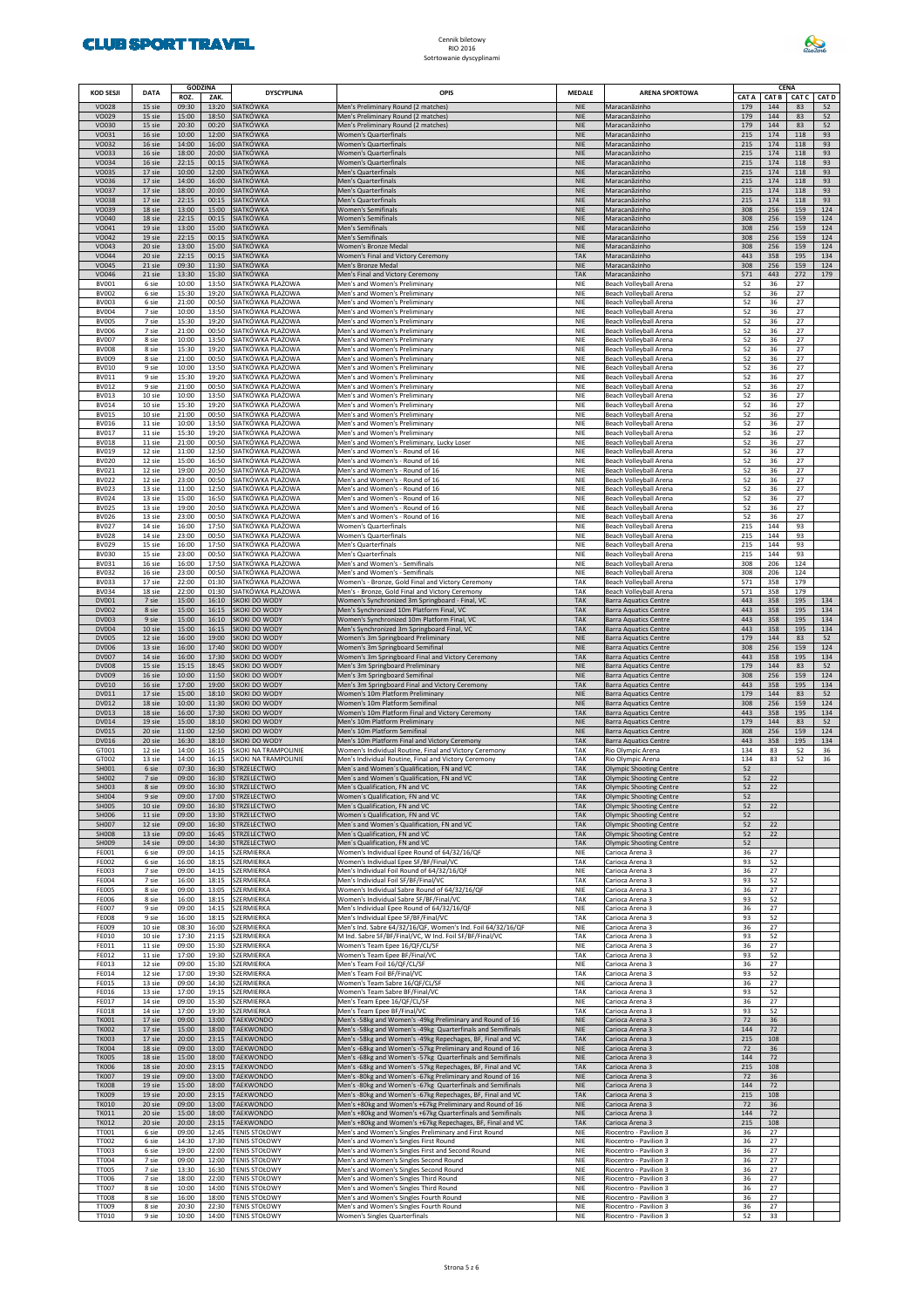

| <b>KOD SESJI</b>             | <b>DATA</b>      | <b>GODZINA</b><br>ROZ. | ZAK.           | <b>DYSCYPLINA</b>                            | OPIS                                                                                                                     | <b>MEDALE</b>            | <b>ARENA SPORTOWA</b>                                     |              |              | <b>CENA</b><br>CAT C |             |
|------------------------------|------------------|------------------------|----------------|----------------------------------------------|--------------------------------------------------------------------------------------------------------------------------|--------------------------|-----------------------------------------------------------|--------------|--------------|----------------------|-------------|
| <b>VO028</b>                 | 15 sie           | 09:30                  | 13:20          | <b>SIATKÓWKA</b>                             | Men's Preliminary Round (2 matches)                                                                                      | <b>NIE</b>               | Maracanãzinho                                             | CAT A<br>179 | CAT B<br>144 | 83                   | CAT D<br>52 |
| VO029<br>VO030               | 15 sie<br>15 sie | 15:00<br>20:30         | 18:50<br>00:20 | SIATKÓWKA<br>SIATKÓWKA                       | Men's Preliminary Round (2 matches)<br>Men's Preliminary Round (2 matches)                                               | <b>NIE</b><br><b>NIE</b> | Maracanãzinho<br>Maracanãzinho                            | 179<br>179   | 144<br>144   | 83<br>83             | 52<br>52    |
| VO031<br>VO032               | 16 sie<br>16 sie | 10:00<br>14:00         | 12:00<br>16:00 | SIATKÓWKA<br>SIATKÓWKA                       | Women's Quarterfinals                                                                                                    | <b>NIE</b><br><b>NIE</b> | Maracanãzinho                                             | 215<br>215   | 174<br>174   | 118<br>118           | 93<br>93    |
| VO033                        | 16 sie           | 18:00                  | 20:00          | <b>SIATKÓWKA</b>                             | <b>Women's Quarterfinals</b><br><b>Women's Quarterfinals</b>                                                             | <b>NIE</b>               | Maracanãzinho<br>Maracanãzinho                            | 215          | 174          | 118                  | 93          |
| VO034<br>VO035               | 16 sie<br>17 sie | 22:15<br>10:00         | 00:15<br>12:00 | SIATKÓWKA<br>SIATKÓWKA                       | <b>Women's Quarterfinals</b><br>Men's Quarterfinals                                                                      | <b>NIE</b><br><b>NIE</b> | Maracanãzinho<br>Maracanãzinho                            | 215<br>215   | 174<br>174   | 118<br>118           | 93<br>93    |
| VO036                        | 17 sie           | 14:00                  | 16:00          | <b>SIATKÓWKA</b>                             | Men's Quarterfinals                                                                                                      | <b>NIE</b><br><b>NIE</b> | Maracanãzinho                                             | 215          | 174          | 118                  | 93          |
| VO037<br><b>VO038</b>        | 17 sie<br>17 sie | 18:00<br>22:15         | 20:00<br>00:15 | SIATKÓWKA<br>SIATKÓWKA                       | Men's Quarterfinals<br>Men's Quarterfinals                                                                               | <b>NIE</b>               | Maracanãzinho<br>Maracanãzinho                            | 215<br>215   | 174<br>174   | 118<br>118           | 93<br>93    |
| VO039<br>VO040               | 18 sie<br>18 sie | 13:00<br>22:15         | 15:00<br>00:15 | SIATKÓWKA<br>SIATKÓWKA                       | Women's Semifinals<br>Women's Semifinals                                                                                 | <b>NIE</b><br><b>NIE</b> | Maracanãzinho<br>Maracanãzinho                            | 308<br>308   | 256<br>256   | 159<br>159           | 124<br>124  |
| VO041                        | 19 sie           | 13:00                  | 15:00          | SIATKÓWKA                                    | Men's Semifinals                                                                                                         | <b>NIE</b>               | Maracanãzinho                                             | 308          | 256          | 159                  | 124         |
| <b>VO042</b><br>VO043        | 19 sie<br>20 sie | 22:15<br>13:00         | 00:15<br>15:00 | SIATKÓWKA<br>SIATKÓWKA                       | Men's Semifinals<br>Women's Bronze Medal                                                                                 | <b>NIE</b><br><b>NIE</b> | Maracanãzinho<br>Maracanãzinho                            | 308<br>308   | 256<br>256   | 159<br>159           | 124<br>124  |
| VO044<br>VO045               | 20 sie<br>21 sie | 22:15<br>09:30         | 00:15<br>11:30 | <b>SIATKÓWKA</b><br>SIATKÓWKA                | Women's Final and Victory Ceremony<br>Men's Bronze Medal                                                                 | <b>TAK</b><br><b>NIE</b> | Maracanãzinho<br>Maracanãzinho                            | 443<br>308   | 358<br>256   | 195<br>159           | 134<br>124  |
| VO046                        | 21 sie           | 13:30                  | 15:30          | SIATKÓWKA                                    | Men's Final and Victory Ceremony                                                                                         | <b>TAK</b>               | Maracanãzinho                                             | 571          | 443          | 272                  | 179         |
| <b>BV001</b><br><b>BV002</b> | 6 sie<br>6 sie   | 10:00<br>15:30         | 13:50<br>19:20 | SIATKÓWKA PLAŻOWA<br>SIATKÓWKA PLAŻOWA       | Men's and Women's Preliminary<br>Men's and Women's Preliminary                                                           | NIE<br><b>NIE</b>        | Beach Volleyball Arena<br>Beach Volleyball Arena          | 52<br>52     | 36<br>36     | 27<br>27             |             |
| <b>BV003</b><br><b>BV004</b> | 6 sie<br>7 sie   | 21:00<br>10:00         | 00:50<br>13:50 | SIATKÓWKA PLAŻOWA<br>SIATKÓWKA PLAŻOWA       | Men's and Women's Preliminary<br>Men's and Women's Preliminary                                                           | NIE<br>NIE               | Beach Volleyball Arena<br>Beach Volleyball Arena          | 52<br>52     | 36<br>36     | 27<br>27             |             |
| <b>BV005</b>                 | 7 sie            | 15:30                  | 19:20          | SIATKÓWKA PLAŻOWA                            | Men's and Women's Preliminary                                                                                            | NIE                      | Beach Volleyball Arena                                    | 52           | 36           | 27                   |             |
| <b>BV006</b><br><b>BV007</b> | 7 sie<br>8 sie   | 21:00<br>10:00         | 00:50<br>13:50 | SIATKÓWKA PLAŻOWA<br>SIATKÓWKA PLAŻOWA       | Men's and Women's Preliminary<br>Men's and Women's Preliminary                                                           | NIE<br>NIE               | Beach Volleyball Arena<br>Beach Volleyball Arena          | 52<br>52     | 36<br>36     | 27<br>27             |             |
| <b>BV008</b><br><b>BV009</b> | 8 sie<br>8 sie   | 15:30<br>21:00         | 19:20<br>00:50 | SIATKÓWKA PLAŻOWA<br>SIATKÓWKA PLAŻOWA       | Men's and Women's Preliminary<br>Men's and Women's Preliminary                                                           | NIE<br>NIE               | Beach Volleyball Arena<br>Beach Volleyball Arena          | 52<br>52     | 36<br>36     | 27<br>27             |             |
| <b>BV010</b>                 | 9 sie            | 10:00                  | 13:50          | SIATKÓWKA PLAŻOWA                            | Men's and Women's Preliminary                                                                                            | NIE                      | Beach Volleyball Arena                                    | 52           | 36           | 27                   |             |
| <b>BV011</b><br><b>BV012</b> | 9 sie<br>9 sie   | 15:30<br>21:00         | 19:20<br>00:50 | SIATKÓWKA PLAŻOWA<br>SIATKÓWKA PLAŻOWA       | Men's and Women's Preliminary<br>Men's and Women's Preliminary                                                           | NIE<br>NIE               | Beach Volleyball Arena<br>Beach Volleyball Arena          | 52<br>52     | 36<br>36     | 27<br>27             |             |
| <b>BV013</b><br><b>BV014</b> | 10 sie<br>10 sie | 10:00<br>15:30         | 13:50<br>19:20 | SIATKÓWKA PLAŻOWA<br>SIATKÓWKA PLAŻOWA       | Men's and Women's Preliminary                                                                                            | NIE<br>NIE               | Beach Volleyball Arena                                    | 52           | 36<br>36     | 27<br>27             |             |
| <b>BV015</b>                 | 10 sie           | 21:00                  | 00:50          | SIATKÓWKA PLAŻOWA                            | Men's and Women's Preliminary<br>Men's and Women's Preliminary                                                           | NIE                      | Beach Volleyball Arena<br>Beach Volleyball Arena          | 52<br>52     | 36           | 27                   |             |
| <b>BV016</b><br>BV017        | 11 sie<br>11 sie | 10:00<br>15:30         | 13:50<br>19:20 | SIATKÓWKA PLAŻOWA<br>SIATKÓWKA PLAŻOWA       | Men's and Women's Preliminary<br>Men's and Women's Preliminary                                                           | NIE<br>NIE               | Beach Volleyball Arena<br>Beach Volleyball Arena          | 52<br>52     | 36<br>36     | 27<br>27             |             |
| <b>BV018</b>                 | 11 sie           | 21:00                  | 00:50          | SIATKÓWKA PLAŻOWA                            | Men's and Women's Preliminary, Lucky Loser                                                                               | NIE                      | Beach Volleyball Arena                                    | 52           | 36           | 27                   |             |
| <b>BV019</b><br><b>BV020</b> | 12 sie<br>12 sie | 11:00<br>15:00         | 12:50<br>16:50 | SIATKÓWKA PLAŻOWA<br>SIATKÓWKA PLAŻOWA       | Men's and Women's - Round of 16<br>Men's and Women's - Round of 16                                                       | NIE<br>NIE               | Beach Volleyball Arena<br>Beach Volleyball Arena          | 52<br>52     | 36<br>36     | 27<br>27             |             |
| BV021<br><b>BV022</b>        | 12 sie<br>12 sie | 19:00<br>23:00         | 20:50<br>00:50 | SIATKÓWKA PLAŻOWA<br>SIATKÓWKA PLAŻOWA       | Men's and Women's - Round of 16<br>Men's and Women's - Round of 16                                                       | NIE<br>NIE               | Beach Volleyball Arena<br>Beach Volleyball Arena          | 52<br>52     | 36<br>36     | 27<br>27             |             |
| <b>BV023</b>                 | 13 sie           | 11:00                  | 12:50          | SIATKÓWKA PLAŻOWA                            | Men's and Women's - Round of 16                                                                                          | NIE                      | Beach Volleyball Arena                                    | 52           | 36           | 27                   |             |
| <b>BV024</b><br><b>BV025</b> | 13 sie<br>13 sie | 15:00<br>19:00         | 16:50<br>20:50 | SIATKÓWKA PLAŻOWA<br>SIATKÓWKA PLAŻOWA       | Men's and Women's - Round of 16<br>Men's and Women's - Round of 16                                                       | NIE<br>NIE               | Beach Volleyball Arena<br>Beach Volleyball Arena          | 52<br>52     | 36<br>36     | 27<br>27             |             |
| <b>BV026</b><br><b>BV027</b> | 13 sie<br>14 sie | 23:00<br>16:00         | 00:50<br>17:50 | SIATKÓWKA PLAŻOWA<br>SIATKÓWKA PLAŻOWA       | Men's and Women's - Round of 16<br>Women's Quarterfinals                                                                 | NIE<br>NIE               | Beach Volleyball Arena<br>Beach Volleyball Arena          | 52<br>215    | 36<br>144    | 27<br>93             |             |
| <b>BV028</b>                 | 14 sie           | 23:00                  | 00:50          | SIATKÓWKA PLAŻOWA                            | Women's Quarterfinals                                                                                                    | NIE                      | Beach Volleyball Arena                                    | 215          | 144          | 93                   |             |
| <b>BV029</b><br><b>BV030</b> | 15 sie<br>15 sie | 16:00<br>23:00         | 17:50<br>00:50 | SIATKÓWKA PLAŻOWA<br>SIATKÓWKA PLAŻOWA       | Men's Quarterfinals<br>Men's Quarterfinals                                                                               | NIE<br>NIE               | Beach Volleyball Arena<br>Beach Volleyball Arena          | 215<br>215   | 144<br>144   | 93<br>93             |             |
| <b>BV031</b>                 | 16 sie           | 16:00                  | 17:50          | SIATKÓWKA PLAŻOWA                            | Men's and Women's - Semifinals                                                                                           | NIE                      | Beach Volleyball Arena                                    | 308          | 206          | 124                  |             |
| <b>BV032</b><br><b>BV033</b> | 16 sie<br>17 sie | 23:00<br>22:00         | 00:50<br>01:30 | SIATKÓWKA PLAŻOWA<br>SIATKÓWKA PLAŻOWA       | Men's and Women's - Semifinals<br>Women's - Bronze, Gold Final and Victory Ceremony                                      | NIE<br>TAK               | Beach Volleyball Arena<br>Beach Volleyball Arena          | 308<br>571   | 206<br>358   | 124<br>179           |             |
| <b>BV034</b><br>DV001        | 18 sie<br>7 sie  | 22:00<br>15:00         | 01:30<br>16:10 | SIATKÓWKA PLAŻOWA<br>SKOKI DO WODY           | Men's - Bronze, Gold Final and Victory Ceremony<br>Women's Synchronized 3m Springboard - Final, VC                       | TAK<br><b>TAK</b>        | Beach Volleyball Arena<br>Barra Aquatics Centre           | 571<br>443   | 358<br>358   | 179<br>195           | 134         |
| <b>DV002</b>                 | 8 sie            | 15:00                  | 16:15          | SKOKI DO WODY                                | Men's Synchronized 10m Platform Final, VC                                                                                | <b>TAK</b>               | Barra Aquatics Centre                                     | 443          | 358          | 195                  | 134         |
| DV003<br><b>DV004</b>        | 9 sie<br>10 sie  | 15:00<br>15:00         | 16:10<br>16:15 | SKOKI DO WODY<br>SKOKI DO WODY               | Women's Synchronized 10m Platform Final, VC<br>Men's Synchronized 3m Springboard Final, VC                               | <b>TAK</b><br><b>TAK</b> | Barra Aquatics Centre<br>Barra Aquatics Centre            | 443<br>443   | 358<br>358   | 195<br>195           | 134<br>134  |
| <b>DV005</b><br><b>DV006</b> | 12 sie<br>13 sie | 16:00<br>16:00         | 19:00<br>17:40 | SKOKI DO WODY<br>SKOKI DO WODY               | Women's 3m Springboard Preliminary<br>Women's 3m Springboard Semifinal                                                   | <b>NIE</b><br><b>NIE</b> | Barra Aquatics Centre<br>Barra Aquatics Centre            | 179<br>308   | 144<br>256   | 83<br>159            | 52<br>124   |
| <b>DV007</b>                 | 14 sie           | 16:00                  | 17:30          | SKOKI DO WODY                                | Women's 3m Springboard Final and Victory Ceremony                                                                        | <b>TAK</b>               | Barra Aquatics Centre                                     | 443          | 358          | 195                  | 134         |
| <b>DV008</b><br>DV009        | 15 sie<br>16 sie | 15:15<br>10:00         | 18:45<br>11:50 | skoki do wody<br>SKOKI DO WODY               | Men's 3m Springboard Preliminary<br>Men's 3m Springboard Semifinal                                                       | <b>NIE</b><br><b>NIE</b> | Barra Aquatics Centre<br>Barra Aquatics Centre            | 179<br>308   | 144<br>256   | 83<br>159            | 52<br>124   |
| DV010<br>DV011               | 16 sie<br>17 sie | 17:00<br>15:00         | 19:00<br>18:10 | SKOKI DO WODY<br>SKOKI DO WODY               | Men's 3m Springboard Final and Victory Ceremony<br>Women's 10m Platform Preliminary                                      | <b>TAK</b><br><b>NIE</b> | Barra Aquatics Centre<br>Barra Aquatics Centre            | 443<br>179   | 358<br>144   | 195<br>83            | 134<br>52   |
| <b>DV012</b>                 | 18 sie           | 10:00                  | 11:30          | SKOKI DO WODY                                | Women's 10m Platform Semifinal                                                                                           | <b>NIE</b>               | Barra Aquatics Centre                                     | 308          | 256          | 159                  | 124         |
| DV013<br>DV014               | 18 sie<br>19 sie | 16:00<br>15:00         | 17:30<br>18:10 | skoki do wody<br>SKOKI DO WODY               | Women's 10m Platform Final and Victory Ceremony<br>Men's 10m Platform Preliminary                                        | <b>TAK</b><br><b>NIE</b> | Barra Aquatics Centre<br><b>Barra Aquatics Centre</b>     | 443<br>179   | 358<br>144   | 195<br>83            | 134<br>52   |
| <b>DV015</b><br>DV016        | 20 sie<br>20 sie | 11:00<br>16:30         | 12:50<br>18:10 | SKOKI DO WODY<br>skoki do wody               | Men's 10m Platform Semifinal                                                                                             | <b>NIE</b><br><b>TAK</b> | Barra Aquatics Centre                                     | 308<br>443   | 256<br>358   | 159<br>195           | 124<br>134  |
| GT001                        | 12 sie           | 14:00                  | 16:15          | KOKI NA TRAMPOLINIE                          | Men's 10m Platform Final and Victory Ceremony<br>Women's Individual Routine, Final and Victory Ceremony                  | TAK                      | Barra Aquatics Centre<br>Rio Olympic Arena                | 134          | 83           | 52                   | 36          |
| GT002<br>SH001               | 13 sie<br>6 sie  | 14:00<br>07:30         | 16:15<br>16:30 | SKOKI NA TRAMPOLINIE<br>STRZELECTWO          | Men's Individual Routine, Final and Victory Ceremony<br>Men's and Women's Qualification, FN and VC                       | TAK<br><b>TAK</b>        | Rio Olympic Arena<br><b>Olympic Shooting Centre</b>       | 134<br>52    | 83           | 52                   | 36          |
| SH002<br>SH003               | 7 sie<br>8 sie   | 09:00<br>09:00         |                | 16:30 STRZELECTWO<br>16:30 STRZELECTWO       | Men's and Women's Qualification, FN and VC<br>Men's Qualification, FN and VC                                             | TAK<br><b>TAK</b>        | Olympic Shooting Centre<br>Olympic Shooting Centre        | 52<br>52     | 22<br>22     |                      |             |
| SH004                        | 9 sie            | 09:00                  | 17:00          | STRZELECTWO                                  | Women's Qualification, FN and VC                                                                                         | <b>TAK</b>               | Olympic Shooting Centre                                   | 52           |              |                      |             |
| <b>SH005</b><br>SH006        | 10 sie<br>11 sie | 09:00<br>09:00         | 16:30<br>13:30 | STRZELECTWO<br>STRZELECTWO                   | Men's Qualification, FN and VC<br>Women's Qualification, FN and VC                                                       | <b>TAK</b><br><b>TAK</b> | <b>Olympic Shooting Centre</b><br>Olympic Shooting Centre | 52<br>52     | 22           |                      |             |
| SH007<br><b>SH008</b>        | 12 sie<br>13 sie | 09:00<br>09:00         | 16:30<br>16:45 | STRZELECTWO<br>STRZELECTWO                   | Men's and Women's Qualification, FN and VC<br>Men's Qualification, FN and VC                                             | <b>TAK</b><br><b>TAK</b> | Olympic Shooting Centre<br>Olympic Shooting Centre        | 52<br>52     | 22<br>22     |                      |             |
| SH009                        | 14 sie           | 09:00                  | 14:30          | STRZELECTWO                                  | Men's Qualification, FN and VC                                                                                           | <b>TAK</b>               | Olympic Shooting Centre                                   | 52           |              |                      |             |
| FE001<br><b>FE002</b>        | 6 sie<br>6 sie   | 09:00<br>16:00         | 14:15<br>18:15 | SZERMIERKA<br>SZERMIERKA                     | Women's Individual Epee Round of 64/32/16/QF<br>Women's Individual Epee SF/BF/Final/VC                                   | NIE<br>TAK               | Carioca Arena 3<br>Carioca Arena 3                        | 36<br>93     | 27<br>52     |                      |             |
| <b>FE003</b><br><b>FE004</b> | 7 sie            | 09:00<br>16:00         | 14:15<br>18:15 | SZERMIERKA<br>SZERMIERKA                     | Men's Individual Foil Round of 64/32/16/QF<br>Men's Individual Foil SF/BF/Final/VC                                       | NIE<br>TAK               | Carioca Arena 3                                           | 36<br>93     | 27<br>52     |                      |             |
| <b>FE005</b>                 | 7 sie<br>8 sie   | 09:00                  | 13:05          | SZERMIERKA                                   | Women's Individual Sabre Round of 64/32/16/QF                                                                            | NIE                      | Carioca Arena 3<br>Carioca Arena 3                        | 36           | 27           |                      |             |
| FE006<br><b>FE007</b>        | 8 sie<br>9 sie   | 16:00<br>09:00         | 18:15<br>14:15 | SZERMIERKA<br>SZERMIERKA                     | Women's Individual Sabre SF/BF/Final/VC<br>Men's Individual Epee Round of 64/32/16/QF                                    | TAK<br>NIE               | Carioca Arena 3<br>Carioca Arena 3                        | 93<br>36     | 52<br>27     |                      |             |
| <b>FE008</b><br><b>FE009</b> | 9 sie<br>10 sie  | 16:00<br>08:30         | 18:15<br>16:00 | SZERMIERKA<br>SZERMIERKA                     | Men's Individual Epee SF/BF/Final/VC<br>Men's Ind. Sabre 64/32/16/QF, Women's Ind. Foil 64/32/16/QF                      | TAK<br>NIE               | Carioca Arena 3                                           | 93<br>36     | 52<br>27     |                      |             |
| FE010                        | 10 sie           | 17:30                  | 21:15          | SZERMIERKA                                   | M Ind. Sabre SF/BF/Final/VC, W Ind. Foil SF/BF/Final/VC                                                                  | TAK                      | Carioca Arena 3<br>Carioca Arena 3                        | 93           | 52           |                      |             |
| FE011<br>FE012               | 11 sie<br>11 sie | 09:00<br>17:00         | 15:30<br>19:30 | SZERMIERKA<br>SZERMIERKA                     | Women's Team Epee 16/QF/CL/SF<br>Women's Team Epee BF/Final/VC                                                           | NIE<br>TAK               | Carioca Arena 3<br>Carioca Arena 3                        | 36<br>93     | 27<br>52     |                      |             |
| FE013                        | 12 sie           | 09:00                  | 15:30          | SZERMIERKA<br>SZERMIERKA                     | Men's Team Foil 16/QF/CL/SF                                                                                              | <b>NIE</b><br><b>TAK</b> | Carioca Arena 3                                           | 36           | 27           |                      |             |
| FE014<br>FE015               | 12 sie<br>13 sie | 17:00<br>09:00         | 19:30<br>14:30 | SZERMIERKA                                   | Men's Team Foil BF/Final/VC<br>Women's Team Sabre 16/QF/CL/SF                                                            | <b>NIE</b>               | Carioca Arena 3<br>Carioca Arena 3                        | 93<br>36     | 52<br>27     |                      |             |
| FE016<br>FE017               | 13 sie<br>14 sie | 17:00<br>09:00         | 19:15<br>15:30 | SZERMIERKA<br>SZERMIERKA                     | Women's Team Sabre BF/Final/VC<br>Men's Team Epee 16/QF/CL/SF                                                            | TAK<br>NIE               | Carioca Arena 3<br>Carioca Arena 3                        | 93<br>36     | 52<br>27     |                      |             |
| <b>FE018</b><br><b>TK001</b> | 14 sie<br>17 sie | 17:00<br>09:00         | 19:30<br>13:00 | SZERMIERKA<br>TAEKWONDO                      | Men's Team Epee BF/Final/VC                                                                                              | TAK<br><b>NIE</b>        | Carioca Arena 3                                           | 93<br>72     | 52<br>36     |                      |             |
| <b>TK002</b>                 | 17 sie           | 15:00                  | 18:00          | <b>TAEKWONDO</b>                             | Men's -58kg and Women's -49kg Preliminary and Round of 16<br>Men's -58kg and Women's -49kg Quarterfinals and Semifinals  | <b>NIE</b>               | Carioca Arena 3<br>Carioca Arena 3                        | 144          | 72           |                      |             |
| <b>TK003</b><br><b>TK004</b> | 17 sie<br>18 sie | 20:00<br>09:00         | 23:15<br>13:00 | TAEKWONDO<br><b>TAEKWONDO</b>                | Men's -58kg and Women's -49kg Repechages, BF, Final and VC<br>Men's -68kg and Women's -57kg Preliminary and Round of 16  | <b>TAK</b><br><b>NIE</b> | Carioca Arena 3<br>Carioca Arena 3                        | 215<br>72    | 108<br>36    |                      |             |
| <b>TK005</b><br><b>TK006</b> | 18 sie<br>18 sie | 15:00                  | 18:00          | TAEKWONDO<br>TAEKWONDO                       | Men's -68kg and Women's -57kg Quarterfinals and Semifinals                                                               | <b>NIE</b><br><b>TAK</b> | Carioca Arena 3                                           | 144          | 72           |                      |             |
| <b>TK007</b>                 | 19 sie           | 20:00<br>09:00         | 23:15<br>13:00 | <b>TAEKWONDO</b>                             | Men's -68kg and Women's -57kg Repechages, BF, Final and VC<br>Men's -80kg and Women's -67kg Preliminary and Round of 16  | <b>NIE</b>               | Carioca Arena 3<br>Carioca Arena 3                        | 215<br>72    | 108<br>36    |                      |             |
| <b>TK008</b><br><b>TK009</b> | 19 sie<br>19 sie | 15:00<br>20:00         | 18:00<br>23:15 | TAEKWONDO<br><b>TAEKWONDO</b>                | Men's -80kg and Women's -67kg Quarterfinals and Semifinals<br>Men's -80kg and Women's -67kg Repechages, BF, Final and VC | <b>NIE</b><br>TAK        | Carioca Arena 3<br>Carioca Arena 3                        | 144<br>215   | 72<br>108    |                      |             |
| <b>TK010</b><br><b>TK011</b> | 20 sie           | 09:00<br>15:00         | 13:00          | TAEKWONDO                                    | Men's +80kg and Women's +67kg Preliminary and Round of 16                                                                | <b>NIE</b><br><b>NIE</b> | Carioca Arena 3                                           | 72<br>144    | 36<br>72     |                      |             |
| <b>TK012</b>                 | 20 sie<br>20 sie | 20:00                  | 18:00<br>23:15 | TAEKWONDO<br>TAEKWONDO                       | Men's +80kg and Women's +67kg Quarterfinals and Semifinals<br>Men's +80kg and Women's +67kg Repechages, BF, Final and VC | <b>TAK</b>               | Carioca Arena 3<br>Carioca Arena 3                        | 215          | 108          |                      |             |
| <b>TT001</b><br><b>TT002</b> | 6 sie<br>6 sie   | 09:00<br>14:30         | 12:45<br>17:30 | TENIS STOŁOWY<br><b>TENIS STOŁOWY</b>        | Men's and Women's Singles Preliminary and First Round<br>Men's and Women's Singles First Round                           | <b>NIE</b><br><b>NIE</b> | Riocentro - Pavilion 3<br>Riocentro - Pavilion 3          | 36<br>36     | 27<br>27     |                      |             |
| <b>TT003</b>                 | 6 sie            | 19:00                  | 22:00          | <b>TENIS STOŁOWY</b>                         | Men's and Women's Singles First and Second Round                                                                         | <b>NIE</b>               | Riocentro - Pavilion 3                                    | 36           | 27           |                      |             |
| <b>TT004</b><br><b>TT005</b> | 7 sie<br>7 sie   | 09:00<br>13:30         | 12:00<br>16:30 | <b>TENIS STOŁOWY</b><br><b>TENIS STOŁOWY</b> | Men's and Women's Singles Second Round<br>Men's and Women's Singles Second Round                                         | <b>NIE</b><br>NIE        | Riocentro - Pavilion 3<br>Riocentro - Pavilion 3          | 36<br>36     | 27<br>27     |                      |             |
| <b>TT006</b><br><b>TT007</b> | 7 sie<br>8 sie   | 18:00<br>10:00         | 22:00<br>14:00 | <b>TENIS STOŁOWY</b><br><b>TENIS STOŁOWY</b> | Men's and Women's Singles Third Round<br>Men's and Women's Singles Third Round                                           | <b>NIE</b><br><b>NIE</b> | Riocentro - Pavilion 3<br>Riocentro - Pavilion 3          | 36<br>36     | 27<br>27     |                      |             |
| <b>TT008</b>                 | 8 sie            | 16:00                  | 18:00          | <b>TENIS STOŁOWY</b>                         | Men's and Women's Singles Fourth Round                                                                                   | NIE                      | Riocentro - Pavilion 3                                    | 36           | 27           |                      |             |
| <b>TT009</b><br>TT010        | 8 sie<br>9 sie   | 20:30<br>10:00         | 22:30          | <b>TENIS STOŁOWY</b><br>14:00 TENIS STOŁOWY  | Men's and Women's Singles Fourth Round<br>Women's Singles Quarterfinals                                                  | <b>NIE</b><br>NIE        | Riocentro - Pavilion 3<br>Riocentro - Pavilion 3          | 36<br>52     | 27<br>33     |                      |             |